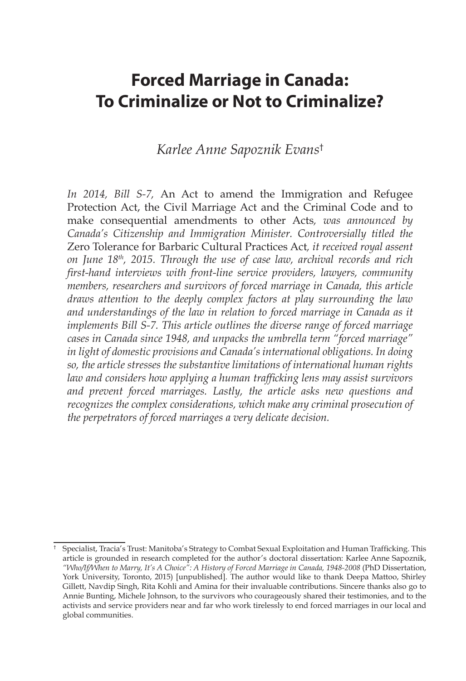# **Forced Marriage in Canada: To Criminalize or Not to Criminalize?**

### *Karlee Anne Sapoznik Evans*†

*In 2014, Bill S-7,* An Act to amend the Immigration and Refugee Protection Act, the Civil Marriage Act and the Criminal Code and to make consequential amendments to other Acts*, was announced by Canada's Citizenship and Immigration Minister. Controversially titled the*  Zero Tolerance for Barbaric Cultural Practices Act*, it received royal assent on June 18th, 2015. Through the use of case law, archival records and rich first-hand interviews with front-line service providers, lawyers, community members, researchers and survivors of forced marriage in Canada, this article draws attention to the deeply complex factors at play surrounding the law and understandings of the law in relation to forced marriage in Canada as it implements Bill S-7. This article outlines the diverse range of forced marriage cases in Canada since 1948, and unpacks the umbrella term "forced marriage" in light of domestic provisions and Canada's international obligations. In doing so, the article stresses the substantive limitations of international human rights law and considers how applying a human trafficking lens may assist survivors and prevent forced marriages. Lastly, the article asks new questions and recognizes the complex considerations, which make any criminal prosecution of the perpetrators of forced marriages a very delicate decision.* 

<sup>†</sup> Specialist, Tracia's Trust: Manitoba's Strategy to Combat Sexual Exploitation and Human Trafficking. This article is grounded in research completed for the author's doctoral dissertation: Karlee Anne Sapoznik, *"Who/If/When to Marry, It's A Choice": A History of Forced Marriage in Canada, 1948-2008* (PhD Dissertation, York University, Toronto, 2015) [unpublished]. The author would like to thank Deepa Mattoo, Shirley Gillett, Navdip Singh, Rita Kohli and Amina for their invaluable contributions. Sincere thanks also go to Annie Bunting, Michele Johnson, to the survivors who courageously shared their testimonies, and to the activists and service providers near and far who work tirelessly to end forced marriages in our local and global communities.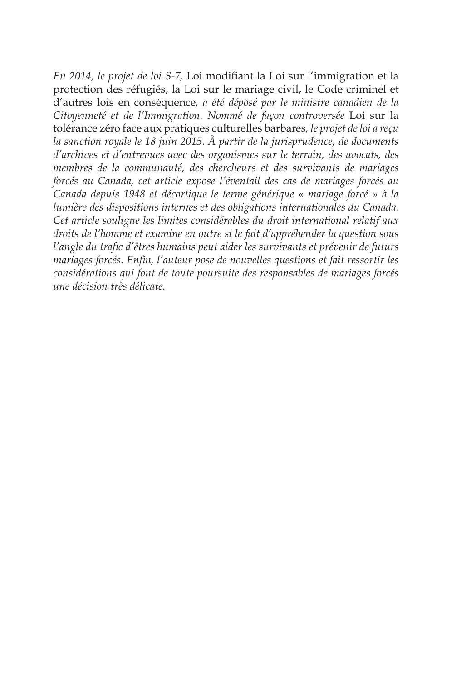*En 2014, le projet de loi S-7,* Loi modifiant la Loi sur l'immigration et la protection des réfugiés, la Loi sur le mariage civil, le Code criminel et d'autres lois en conséquence*, a été déposé par le ministre canadien de la Citoyenneté et de l'Immigration. Nommé de façon controversée* Loi sur la tolérance zéro face aux pratiques culturelles barbares*, le projet de loi a reçu la sanction royale le 18 juin 2015. À partir de la jurisprudence, de documents d'archives et d'entrevues avec des organismes sur le terrain, des avocats, des membres de la communauté, des chercheurs et des survivants de mariages forcés au Canada, cet article expose l'éventail des cas de mariages forcés au Canada depuis 1948 et décortique le terme générique « mariage forcé » à la lumière des dispositions internes et des obligations internationales du Canada. Cet article souligne les limites considérables du droit international relatif aux droits de l'homme et examine en outre si le fait d'appréhender la question sous l'angle du trafic d'êtres humains peut aider les survivants et prévenir de futurs mariages forcés. Enfin, l'auteur pose de nouvelles questions et fait ressortir les considérations qui font de toute poursuite des responsables de mariages forcés une décision très délicate.*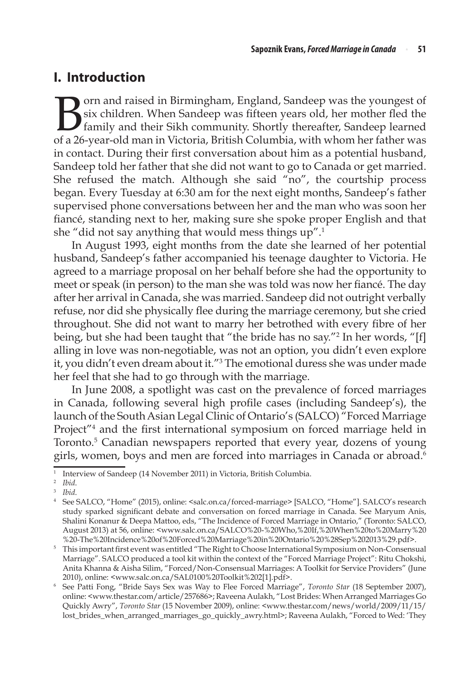### **I. Introduction**

**B**orn and raised in Birmingham, England, Sandeep was the youngest of six children. When Sandeep was fifteen years old, her mother fled the family and their Sikh community. Shortly thereafter, Sandeep learned of a 26-yearsix children. When Sandeep was fifteen years old, her mother fled the family and their Sikh community. Shortly thereafter, Sandeep learned of a 26-year-old man in Victoria, British Columbia, with whom her father was in contact. During their first conversation about him as a potential husband, Sandeep told her father that she did not want to go to Canada or get married. She refused the match. Although she said "no", the courtship process began. Every Tuesday at 6:30 am for the next eight months, Sandeep's father supervised phone conversations between her and the man who was soon her fiancé, standing next to her, making sure she spoke proper English and that she "did not say anything that would mess things up".1

In August 1993, eight months from the date she learned of her potential husband, Sandeep's father accompanied his teenage daughter to Victoria. He agreed to a marriage proposal on her behalf before she had the opportunity to meet or speak (in person) to the man she was told was now her fiancé. The day after her arrival in Canada, she was married. Sandeep did not outright verbally refuse, nor did she physically flee during the marriage ceremony, but she cried throughout. She did not want to marry her betrothed with every fibre of her being, but she had been taught that "the bride has no say."2 In her words, "[f] alling in love was non-negotiable, was not an option, you didn't even explore it, you didn't even dream about it."3 The emotional duress she was under made her feel that she had to go through with the marriage.

In June 2008, a spotlight was cast on the prevalence of forced marriages in Canada, following several high profile cases (including Sandeep's), the launch of the South Asian Legal Clinic of Ontario's (SALCO) "Forced Marriage Project"4 and the first international symposium on forced marriage held in Toronto.5 Canadian newspapers reported that every year, dozens of young girls, women, boys and men are forced into marriages in Canada or abroad.<sup>6</sup>

<sup>1</sup> Interview of Sandeep (14 November 2011) in Victoria, British Columbia. 2 *Ibid*.

<sup>&</sup>lt;sup>4</sup> See SALCO, "Home" (2015), online: <salc.on.ca/forced-marriage> [SALCO, "Home"]. SALCO's research study sparked significant debate and conversation on forced marriage in Canada. See Maryum Anis, Shalini Konanur & Deepa Mattoo, eds, "The Incidence of Forced Marriage in Ontario," (Toronto: SALCO, August 2013) at 56, online: <www.salc.on.ca/SALCO%20-%20Who,%20If,%20When%20to%20Marry%20 %20-The%20Incidence%20of%20Forced%20Marriage%20in%20Ontario%20%28Sep%202013%29.pdf>.

<sup>5</sup> This important first event was entitled "The Right to Choose International Symposium on Non-Consensual Marriage". SALCO produced a tool kit within the context of the "Forced Marriage Project": Ritu Chokshi, Anita Khanna & Aisha Silim, "Forced/Non-Consensual Marriages: A Toolkit for Service Providers" (June 2010), online: <www.salc.on.ca/SAL0100%20Toolkit%202[1].pdf>.

<sup>6</sup> See Patti Fong, "Bride Says Sex was Way to Flee Forced Marriage", *Toronto Star* (18 September 2007), online: <www.thestar.com/article/257686>; Raveena Aulakh, "Lost Brides: When Arranged Marriages Go Quickly Awry", *Toronto Star* (15 November 2009), online: <www.thestar.com/news/world/2009/11/15/ lost\_brides\_when\_arranged\_marriages\_go\_quickly\_awry.html>; Raveena Aulakh, "Forced to Wed: 'They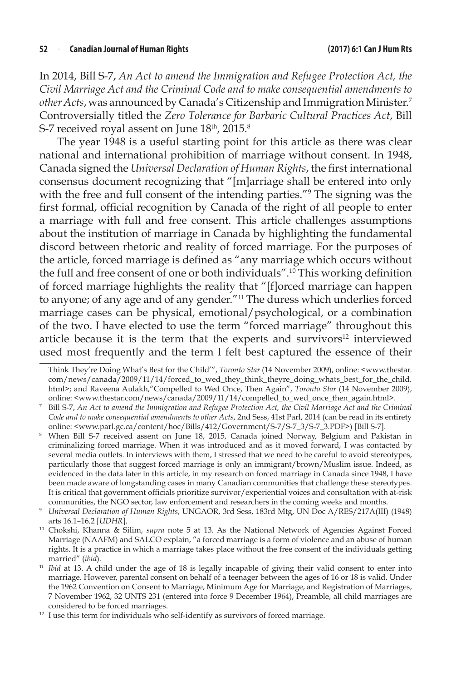In 2014, Bill S-7, *An Act to amend the Immigration and Refugee Protection Act, the Civil Marriage Act and the Criminal Code and to make consequential amendments to other Acts*, was announced by Canada's Citizenship and Immigration Minister.7 Controversially titled the *Zero Tolerance for Barbaric Cultural Practices Act*, Bill S-7 received royal assent on June 18<sup>th</sup>, 2015.<sup>8</sup>

The year 1948 is a useful starting point for this article as there was clear national and international prohibition of marriage without consent. In 1948, Canada signed the *Universal Declaration of Human Rights*, the first international consensus document recognizing that "[m]arriage shall be entered into only with the free and full consent of the intending parties."9 The signing was the first formal, official recognition by Canada of the right of all people to enter a marriage with full and free consent. This article challenges assumptions about the institution of marriage in Canada by highlighting the fundamental discord between rhetoric and reality of forced marriage. For the purposes of the article, forced marriage is defined as "any marriage which occurs without the full and free consent of one or both individuals".10 This working definition of forced marriage highlights the reality that "[f]orced marriage can happen to anyone; of any age and of any gender."<sup>11</sup> The duress which underlies forced marriage cases can be physical, emotional/psychological, or a combination of the two. I have elected to use the term "forced marriage" throughout this article because it is the term that the experts and survivors $12$  interviewed used most frequently and the term I felt best captured the essence of their

Think They're Doing What's Best for the Child'", *Toronto Star* (14 November 2009), online: <www.thestar. com/news/canada/2009/11/14/forced\_to\_wed\_they\_think\_theyre\_doing\_whats\_best\_for\_the\_child. html>; and Raveena Aulakh,"Compelled to Wed Once, Then Again", *Toronto Star* (14 November 2009), online: <www.thestar.com/news/canada/2009/11/14/compelled\_to\_wed\_once\_then\_again.html>.

<sup>7</sup> Bill S-7, *An Act to amend the Immigration and Refugee Protection Act, the Civil Marriage Act and the Criminal Code and to make consequential amendments to other Acts*, 2nd Sess, 41st Parl, 2014 (can be read in its entirety online: <www.parl.gc.ca/content/hoc/Bills/412/Government/S-7/S-7\_3/S-7\_3.PDF>) [Bill S-7].

<sup>8</sup> When Bill S-7 received assent on June 18, 2015, Canada joined Norway, Belgium and Pakistan in criminalizing forced marriage. When it was introduced and as it moved forward, I was contacted by several media outlets. In interviews with them, I stressed that we need to be careful to avoid stereotypes, particularly those that suggest forced marriage is only an immigrant/brown/Muslim issue. Indeed, as evidenced in the data later in this article, in my research on forced marriage in Canada since 1948, I have been made aware of longstanding cases in many Canadian communities that challenge these stereotypes. It is critical that government officials prioritize survivor/experiential voices and consultation with at-risk communities, the NGO sector, law enforcement and researchers in the coming weeks and months.

<sup>9</sup> *Universal Declaration of Human Rights*, UNGAOR, 3rd Sess, 183rd Mtg, UN Doc A/RES/217A(III) (1948)

arts 16.1–16.2 [*UDHR*]. 10 Chokshi, Khanna & Silim, *supra* note 5 at 13. As the National Network of Agencies Against Forced Marriage (NAAFM) and SALCO explain, "a forced marriage is a form of violence and an abuse of human rights. It is a practice in which a marriage takes place without the free consent of the individuals getting

married" (*ibid*).<br><sup>11</sup> *Ibid* at 13. A child under the age of 18 is legally incapable of giving their valid consent to enter into marriage. However, parental consent on behalf of a teenager between the ages of 16 or 18 is valid. Under the 1962 Convention on Consent to Marriage, Minimum Age for Marriage, and Registration of Marriages, 7 November 1962, 32 UNTS 231 (entered into force 9 December 1964), Preamble, all child marriages are

considered to be forced marriages.  $^{\rm 12}$  I use this term for individuals who self-identify as survivors of forced marriage.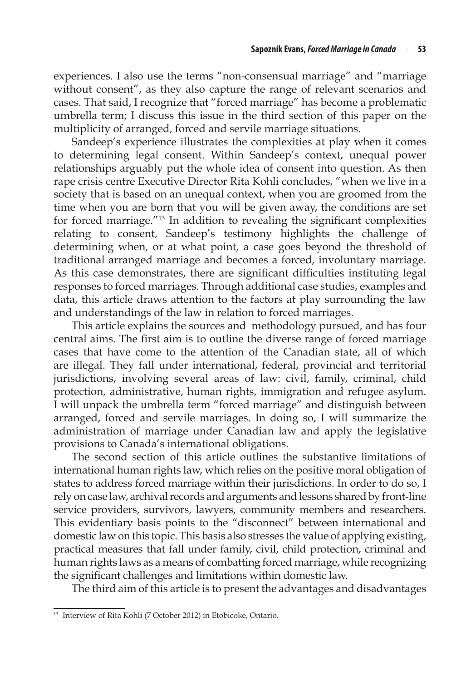experiences. I also use the terms "non-consensual marriage" and "marriage without consent", as they also capture the range of relevant scenarios and cases. That said, I recognize that "forced marriage" has become a problematic umbrella term; I discuss this issue in the third section of this paper on the multiplicity of arranged, forced and servile marriage situations.

Sandeep's experience illustrates the complexities at play when it comes to determining legal consent. Within Sandeep's context, unequal power relationships arguably put the whole idea of consent into question. As then rape crisis centre Executive Director Rita Kohli concludes, "when we live in a society that is based on an unequal context, when you are groomed from the time when you are born that you will be given away, the conditions are set for forced marriage."13 In addition to revealing the significant complexities relating to consent, Sandeep's testimony highlights the challenge of determining when, or at what point, a case goes beyond the threshold of traditional arranged marriage and becomes a forced, involuntary marriage. As this case demonstrates, there are significant difficulties instituting legal responses to forced marriages. Through additional case studies, examples and data, this article draws attention to the factors at play surrounding the law and understandings of the law in relation to forced marriages.

This article explains the sources and methodology pursued, and has four central aims. The first aim is to outline the diverse range of forced marriage cases that have come to the attention of the Canadian state, all of which are illegal. They fall under international, federal, provincial and territorial jurisdictions, involving several areas of law: civil, family, criminal, child protection, administrative, human rights, immigration and refugee asylum. I will unpack the umbrella term "forced marriage" and distinguish between arranged, forced and servile marriages. In doing so, I will summarize the administration of marriage under Canadian law and apply the legislative provisions to Canada's international obligations.

The second section of this article outlines the substantive limitations of international human rights law, which relies on the positive moral obligation of states to address forced marriage within their jurisdictions. In order to do so, I rely on case law, archival records and arguments and lessons shared by front-line service providers, survivors, lawyers, community members and researchers. This evidentiary basis points to the "disconnect" between international and domestic law on this topic. This basis also stresses the value of applying existing, practical measures that fall under family, civil, child protection, criminal and human rights laws as a means of combatting forced marriage, while recognizing the significant challenges and limitations within domestic law.

The third aim of this article is to present the advantages and disadvantages

<sup>13</sup> Interview of Rita Kohli (7 October 2012) in Etobicoke, Ontario.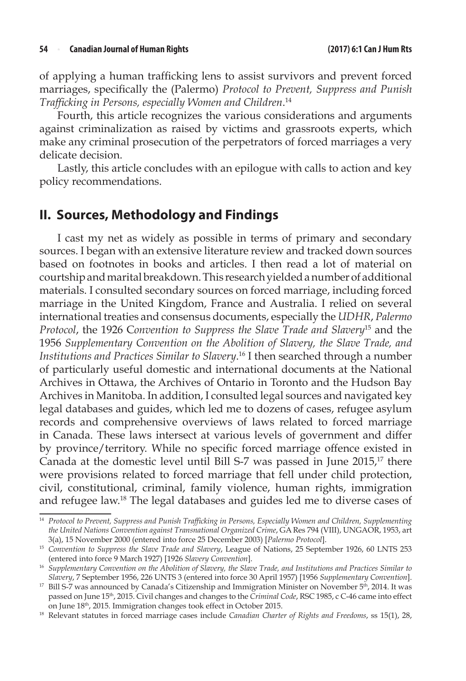of applying a human trafficking lens to assist survivors and prevent forced marriages, specifically the (Palermo) *Protocol to Prevent, Suppress and Punish Trafficking in Persons, especially Women and Children*. 14

Fourth, this article recognizes the various considerations and arguments against criminalization as raised by victims and grassroots experts, which make any criminal prosecution of the perpetrators of forced marriages a very delicate decision.

Lastly, this article concludes with an epilogue with calls to action and key policy recommendations.

### **II. Sources, Methodology and Findings**

I cast my net as widely as possible in terms of primary and secondary sources. I began with an extensive literature review and tracked down sources based on footnotes in books and articles. I then read a lot of material on courtship and marital breakdown. This research yielded a number of additional materials. I consulted secondary sources on forced marriage, including forced marriage in the United Kingdom, France and Australia. I relied on several international treaties and consensus documents, especially the *UDHR*, *Palermo Protocol*, the 1926 C*onvention to Suppress the Slave Trade and Slavery*15 and the 1956 *Supplementary Convention on the Abolition of Slavery, the Slave Trade, and Institutions and Practices Similar to Slavery*. 16 I then searched through a number of particularly useful domestic and international documents at the National Archives in Ottawa, the Archives of Ontario in Toronto and the Hudson Bay Archives in Manitoba. In addition, I consulted legal sources and navigated key legal databases and guides, which led me to dozens of cases, refugee asylum records and comprehensive overviews of laws related to forced marriage in Canada. These laws intersect at various levels of government and differ by province/territory. While no specific forced marriage offence existed in Canada at the domestic level until Bill S-7 was passed in June  $2015<sup>17</sup>$  there were provisions related to forced marriage that fell under child protection, civil, constitutional, criminal, family violence, human rights, immigration and refugee law.18 The legal databases and guides led me to diverse cases of

<sup>14</sup> *Protocol to Prevent, Suppress and Punish Trafficking in Persons, Especially Women and Children, Supplementing the United Nations Convention against Transnational Organized Crime*, GA Res 794 (VIII), UNGAOR, 1953, art 3(a), 15 November 2000 (entered into force 25 December 2003) [*Palermo Protocol*].

<sup>15</sup> *Convention to Suppress the Slave Trade and Slavery*, League of Nations, 25 September 1926, 60 LNTS 253 (entered into force 9 March 1927) [1926 *Slavery Convention*].

<sup>16</sup> *Supplementary Convention on the Abolition of Slavery, the Slave Trade, and Institutions and Practices Similar to Slavery*, 7 September 1956, 226 UNTS 3 (entered into force 30 April 1957) [1956 *Supplementary Convention*].

<sup>&</sup>lt;sup>17</sup> Bill S-7 was announced by Canada's Citizenship and Immigration Minister on November  $5<sup>th</sup>$ , 2014. It was passed on June 15th, 2015. Civil changes and changes to the *Criminal Code*, RSC 1985, c C-46 came into effect

on June 18th, 2015. Immigration changes took effect in October 2015. 18 Relevant statutes in forced marriage cases include *Canadian Charter of Rights and Freedoms*, ss 15(1), 28,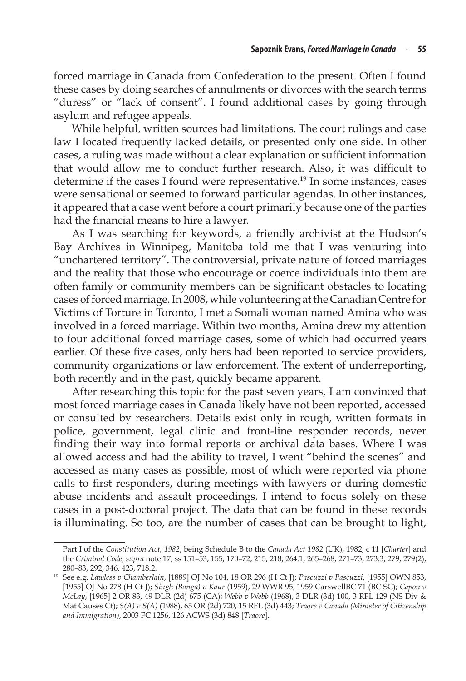forced marriage in Canada from Confederation to the present. Often I found these cases by doing searches of annulments or divorces with the search terms "duress" or "lack of consent". I found additional cases by going through asylum and refugee appeals.

While helpful, written sources had limitations. The court rulings and case law I located frequently lacked details, or presented only one side. In other cases, a ruling was made without a clear explanation or sufficient information that would allow me to conduct further research. Also, it was difficult to determine if the cases I found were representative.<sup>19</sup> In some instances, cases were sensational or seemed to forward particular agendas. In other instances, it appeared that a case went before a court primarily because one of the parties had the financial means to hire a lawyer.

As I was searching for keywords, a friendly archivist at the Hudson's Bay Archives in Winnipeg, Manitoba told me that I was venturing into "unchartered territory". The controversial, private nature of forced marriages and the reality that those who encourage or coerce individuals into them are often family or community members can be significant obstacles to locating cases of forced marriage. In 2008, while volunteering at the Canadian Centre for Victims of Torture in Toronto, I met a Somali woman named Amina who was involved in a forced marriage. Within two months, Amina drew my attention to four additional forced marriage cases, some of which had occurred years earlier. Of these five cases, only hers had been reported to service providers, community organizations or law enforcement. The extent of underreporting, both recently and in the past, quickly became apparent.

After researching this topic for the past seven years, I am convinced that most forced marriage cases in Canada likely have not been reported, accessed or consulted by researchers. Details exist only in rough, written formats in police, government, legal clinic and front-line responder records, never finding their way into formal reports or archival data bases. Where I was allowed access and had the ability to travel, I went "behind the scenes" and accessed as many cases as possible, most of which were reported via phone calls to first responders, during meetings with lawyers or during domestic abuse incidents and assault proceedings. I intend to focus solely on these cases in a post-doctoral project. The data that can be found in these records is illuminating. So too, are the number of cases that can be brought to light,

Part I of the *Constitution Act, 1982*, being Schedule B to the *Canada Act 1982* (UK), 1982, c 11 [*Charter*] and the *Criminal Code*, *supra* note 17, ss 151–53, 155, 170–72, 215, 218, 264.1, 265–268, 271–73, 273.3, 279, 279(2), 280–83, 292, 346, 423, 718.2.

<sup>19</sup> See e.g. *Lawless v Chamberlain*, [1889] OJ No 104, 18 OR 296 (H Ct J); *Pascuzzi v Pascuzzi*, [1955] OWN 853, [1955] OJ No 278 (H Ct J); *Singh (Banga) v Kaur* (1959), 29 WWR 95, 1959 CarswellBC 71 (BC SC); *Capon v McLay*, [1965] 2 OR 83, 49 DLR (2d) 675 (CA); *Webb v Webb* (1968), 3 DLR (3d) 100, 3 RFL 129 (NS Div & Mat Causes Ct); *S(A) v S(A)* (1988), 65 OR (2d) 720, 15 RFL (3d) 443; *Traore v Canada (Minister of Citizenship and Immigration)*, 2003 FC 1256, 126 ACWS (3d) 848 [*Traore*].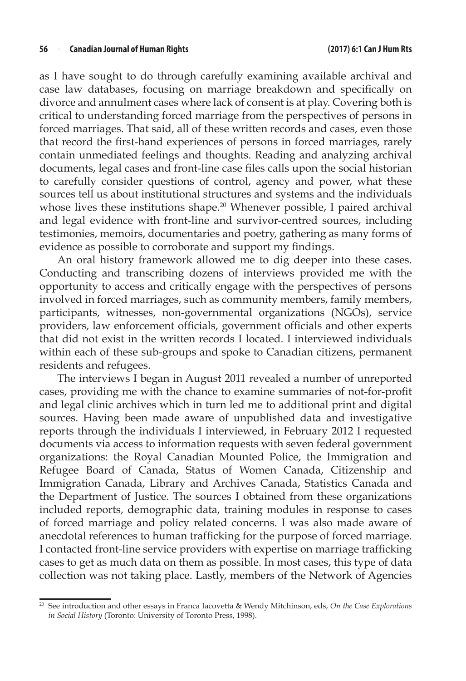as I have sought to do through carefully examining available archival and case law databases, focusing on marriage breakdown and specifically on divorce and annulment cases where lack of consent is at play. Covering both is critical to understanding forced marriage from the perspectives of persons in forced marriages. That said, all of these written records and cases, even those that record the first-hand experiences of persons in forced marriages, rarely contain unmediated feelings and thoughts. Reading and analyzing archival documents, legal cases and front-line case files calls upon the social historian to carefully consider questions of control, agency and power, what these sources tell us about institutional structures and systems and the individuals whose lives these institutions shape.<sup>20</sup> Whenever possible, I paired archival and legal evidence with front-line and survivor-centred sources, including testimonies, memoirs, documentaries and poetry, gathering as many forms of evidence as possible to corroborate and support my findings.

An oral history framework allowed me to dig deeper into these cases. Conducting and transcribing dozens of interviews provided me with the opportunity to access and critically engage with the perspectives of persons involved in forced marriages, such as community members, family members, participants, witnesses, non-governmental organizations (NGOs), service providers, law enforcement officials, government officials and other experts that did not exist in the written records I located. I interviewed individuals within each of these sub-groups and spoke to Canadian citizens, permanent residents and refugees.

The interviews I began in August 2011 revealed a number of unreported cases, providing me with the chance to examine summaries of not-for-profit and legal clinic archives which in turn led me to additional print and digital sources. Having been made aware of unpublished data and investigative reports through the individuals I interviewed, in February 2012 I requested documents via access to information requests with seven federal government organizations: the Royal Canadian Mounted Police, the Immigration and Refugee Board of Canada, Status of Women Canada, Citizenship and Immigration Canada, Library and Archives Canada, Statistics Canada and the Department of Justice. The sources I obtained from these organizations included reports, demographic data, training modules in response to cases of forced marriage and policy related concerns. I was also made aware of anecdotal references to human trafficking for the purpose of forced marriage. I contacted front-line service providers with expertise on marriage trafficking cases to get as much data on them as possible. In most cases, this type of data collection was not taking place. Lastly, members of the Network of Agencies

<sup>20</sup> See introduction and other essays in Franca Iacovetta & Wendy Mitchinson, eds, *On the Case Explorations in Social History* (Toronto: University of Toronto Press, 1998).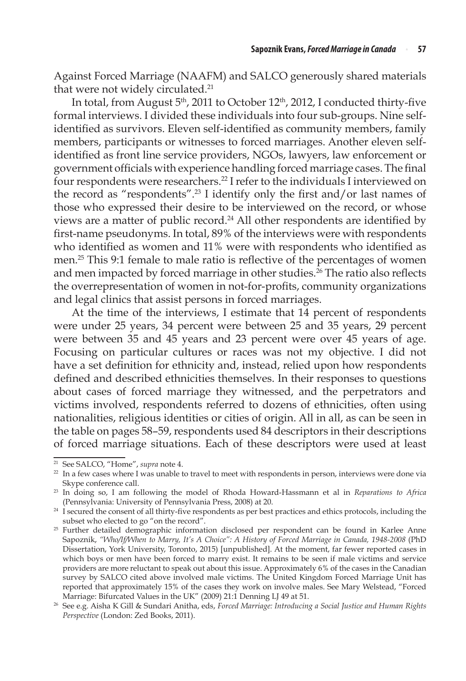Against Forced Marriage (NAAFM) and SALCO generously shared materials that were not widely circulated.<sup>21</sup>

In total, from August 5<sup>th</sup>, 2011 to October 12<sup>th</sup>, 2012, I conducted thirty-five formal interviews. I divided these individuals into four sub-groups. Nine selfidentified as survivors. Eleven self-identified as community members, family members, participants or witnesses to forced marriages. Another eleven selfidentified as front line service providers, NGOs, lawyers, law enforcement or government officials with experience handling forced marriage cases. The final four respondents were researchers.22 I refer to the individuals I interviewed on the record as "respondents".<sup>23</sup> I identify only the first and/or last names of those who expressed their desire to be interviewed on the record, or whose views are a matter of public record.<sup>24</sup> All other respondents are identified by first-name pseudonyms. In total, 89% of the interviews were with respondents who identified as women and 11% were with respondents who identified as men.<sup>25</sup> This 9:1 female to male ratio is reflective of the percentages of women and men impacted by forced marriage in other studies.<sup>26</sup> The ratio also reflects the overrepresentation of women in not-for-profits, community organizations and legal clinics that assist persons in forced marriages.

At the time of the interviews, I estimate that 14 percent of respondents were under 25 years, 34 percent were between 25 and 35 years, 29 percent were between 35 and 45 years and 23 percent were over 45 years of age. Focusing on particular cultures or races was not my objective. I did not have a set definition for ethnicity and, instead, relied upon how respondents defined and described ethnicities themselves. In their responses to questions about cases of forced marriage they witnessed, and the perpetrators and victims involved, respondents referred to dozens of ethnicities, often using nationalities, religious identities or cities of origin. All in all, as can be seen in the table on pages 58–59, respondents used 84 descriptors in their descriptions of forced marriage situations. Each of these descriptors were used at least

<sup>&</sup>lt;sup>21</sup> See SALCO, "Home", *supra* note 4.<br><sup>22</sup> In a few cases where I was unable to travel to meet with respondents in person, interviews were done via Skype conference call. 23 In doing so, I am following the model of Rhoda Howard-Hassmann et al in *Reparations to Africa* 

<sup>(</sup>Pennsylvania: University of Pennsylvania Press, 2008) at 20. 24 I secured the consent of all thirty-five respondents as per best practices and ethics protocols, including the

subset who elected to go "on the record".

<sup>&</sup>lt;sup>25</sup> Further detailed demographic information disclosed per respondent can be found in Karlee Anne Sapoznik, *"Who/If/When to Marry, It's A Choice": A History of Forced Marriage in Canada, 1948-2008* (PhD Dissertation, York University, Toronto, 2015) [unpublished]. At the moment, far fewer reported cases in which boys or men have been forced to marry exist. It remains to be seen if male victims and service providers are more reluctant to speak out about this issue. Approximately 6% of the cases in the Canadian survey by SALCO cited above involved male victims. The United Kingdom Forced Marriage Unit has reported that approximately 15% of the cases they work on involve males. See Mary Welstead, "Forced Marriage: Bifurcated Values in the UK" (2009) 21:1 Denning LJ 49 at 51.

<sup>26</sup> See e.g. Aisha K Gill & Sundari Anitha, eds, *Forced Marriage: Introducing a Social Justice and Human Rights Perspective* (London: Zed Books, 2011).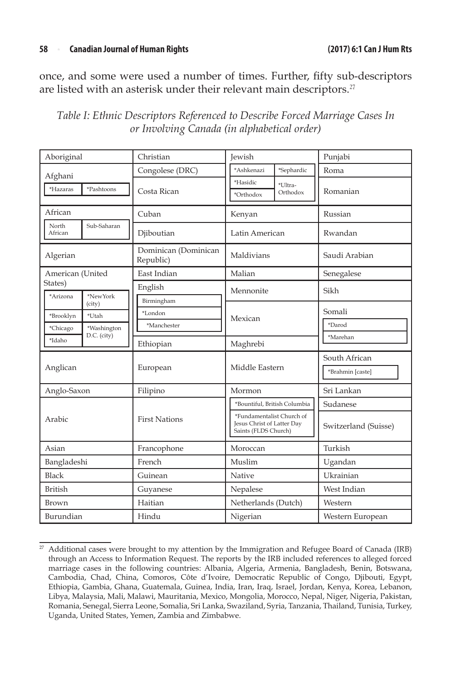#### **58** <sup>n</sup> **Canadian Journal of Human Rights (2017) 6:1 Can J Hum Rts**

once, and some were used a number of times. Further, fifty sub-descriptors are listed with an asterisk under their relevant main descriptors.<sup>27</sup>

| Table I: Ethnic Descriptors Referenced to Describe Forced Marriage Cases In |
|-----------------------------------------------------------------------------|
| or Involving Canada (in alphabetical order)                                 |

| Aboriginal                                                             | Christian                            | <b>Jewish</b>                                                                   | Punjabi                           |  |
|------------------------------------------------------------------------|--------------------------------------|---------------------------------------------------------------------------------|-----------------------------------|--|
| Afghani                                                                | Congolese (DRC)                      | *Ashkenazi<br>*Sephardic                                                        | Roma                              |  |
| *Hazaras<br>*Pashtoons                                                 | Costa Rican                          | *Hasidic<br>*Ultra-<br>Orthodox<br>*Orthodox                                    | Romanian                          |  |
| African                                                                | Cuban                                | Kenyan                                                                          | Russian                           |  |
| North<br>Sub-Saharan<br>African                                        | Djiboutian                           | Latin American                                                                  | Rwandan                           |  |
| Algerian                                                               | Dominican (Dominican<br>Republic)    | Maldivians                                                                      | Saudi Arabian                     |  |
| American (United                                                       | East Indian                          | Malian                                                                          | Senegalese                        |  |
| States)<br>*Arizona<br>*NewYork                                        | English                              | Mennonite                                                                       | Sikh                              |  |
| (city)<br>*Brooklyn<br>*Utah<br>*Washington<br>*Chicago<br>D.C. (city) | Birmingham<br>*London<br>*Manchester | Mexican                                                                         | Somali<br>*Darod                  |  |
| *Idaho                                                                 | Ethiopian                            | Maghrebi                                                                        | *Marehan                          |  |
| Anglican                                                               | European                             | Middle Eastern                                                                  | South African<br>*Brahmin [caste] |  |
| Anglo-Saxon                                                            | Filipino                             | Mormon                                                                          | Sri Lankan                        |  |
|                                                                        |                                      | *Bountiful, British Columbia                                                    | Sudanese                          |  |
| Arabic                                                                 | <b>First Nations</b>                 | *Fundamentalist Church of<br>Jesus Christ of Latter Day<br>Saints (FLDS Church) | Switzerland (Suisse)              |  |
| Asian                                                                  | Francophone                          | Moroccan                                                                        | Turkish                           |  |
| Bangladeshi                                                            | French                               | Muslim                                                                          | Ugandan                           |  |
| Black                                                                  | Guinean                              | Native                                                                          | Ukrainian                         |  |
| <b>British</b>                                                         | Guyanese                             | Nepalese                                                                        | West Indian                       |  |
| Brown                                                                  | Haitian                              | Netherlands (Dutch)                                                             | Western                           |  |
| Burundian                                                              | Hindu                                | Nigerian                                                                        | Western European                  |  |

<sup>&</sup>lt;sup>27</sup> Additional cases were brought to my attention by the Immigration and Refugee Board of Canada (IRB) through an Access to Information Request. The reports by the IRB included references to alleged forced marriage cases in the following countries: Albania, Algeria, Armenia, Bangladesh, Benin, Botswana, Cambodia, Chad, China, Comoros, Côte d'Ivoire, Democratic Republic of Congo, Djibouti, Egypt, Ethiopia, Gambia, Ghana, Guatemala, Guinea, India, Iran, Iraq, Israel, Jordan, Kenya, Korea, Lebanon, Libya, Malaysia, Mali, Malawi, Mauritania, Mexico, Mongolia, Morocco, Nepal, Niger, Nigeria, Pakistan, Romania, Senegal, Sierra Leone, Somalia, Sri Lanka, Swaziland, Syria, Tanzania, Thailand, Tunisia, Turkey, Uganda, United States, Yemen, Zambia and Zimbabwe.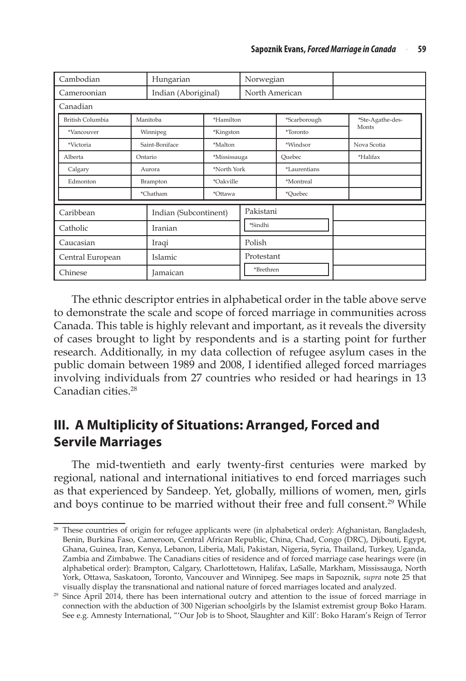| Cambodian               |          | Hungarian                 |              | Norwegian  |                |  |                  |  |
|-------------------------|----------|---------------------------|--------------|------------|----------------|--|------------------|--|
| Cameroonian             |          | Indian (Aboriginal)       |              |            | North American |  |                  |  |
| Canadian                |          |                           |              |            |                |  |                  |  |
| <b>British Columbia</b> | Manitoba |                           | *Hamilton    |            | *Scarborough   |  | *Ste-Agathe-des- |  |
| *Vancouver              |          | Winnipeg                  | *Kingston    |            | *Toronto       |  | Monts            |  |
| *Victoria               |          | Saint-Boniface<br>*Malton |              |            | *Windsor       |  | Nova Scotia      |  |
| Alberta                 | Ontario  |                           | *Mississauga |            | Ouebec         |  | *Halifax         |  |
| Calgary                 |          | *North York<br>Aurora     |              |            | *Laurentians   |  |                  |  |
| Edmonton                |          | *Oakville<br>Brampton     |              |            | *Montreal      |  |                  |  |
|                         |          | *Chatham                  | *Ottawa      |            | *Ouebec        |  |                  |  |
| Caribbean               |          | Indian (Subcontinent)     |              | Pakistani  |                |  |                  |  |
| Catholic                |          | Iranian                   |              | *Sindhi    |                |  |                  |  |
| Caucasian               |          | Iraqi                     |              | Polish     |                |  |                  |  |
| Central European        |          | Islamic                   |              | Protestant |                |  |                  |  |
| Chinese                 |          | Jamaican                  |              | *Brethren  |                |  |                  |  |

The ethnic descriptor entries in alphabetical order in the table above serve to demonstrate the scale and scope of forced marriage in communities across Canada. This table is highly relevant and important, as it reveals the diversity of cases brought to light by respondents and is a starting point for further research. Additionally, in my data collection of refugee asylum cases in the public domain between 1989 and 2008, I identified alleged forced marriages involving individuals from 27 countries who resided or had hearings in 13 Canadian cities.28

## **III. A Multiplicity of Situations: Arranged, Forced and Servile Marriages**

The mid-twentieth and early twenty-first centuries were marked by regional, national and international initiatives to end forced marriages such as that experienced by Sandeep. Yet, globally, millions of women, men, girls and boys continue to be married without their free and full consent.<sup>29</sup> While

<sup>&</sup>lt;sup>28</sup> These countries of origin for refugee applicants were (in alphabetical order): Afghanistan, Bangladesh, Benin, Burkina Faso, Cameroon, Central African Republic, China, Chad, Congo (DRC), Djibouti, Egypt, Ghana, Guinea, Iran, Kenya, Lebanon, Liberia, Mali, Pakistan, Nigeria, Syria, Thailand, Turkey, Uganda, Zambia and Zimbabwe. The Canadians cities of residence and of forced marriage case hearings were (in alphabetical order): Brampton, Calgary, Charlottetown, Halifax, LaSalle, Markham, Mississauga, North York, Ottawa, Saskatoon, Toronto, Vancouver and Winnipeg. See maps in Sapoznik, *supra* note 25 that visually display the transnational and national nature of forced marriages located and analyzed.

 $29$  Since April 2014, there has been international outcry and attention to the issue of forced marriage in connection with the abduction of 300 Nigerian schoolgirls by the Islamist extremist group Boko Haram. See e.g. Amnesty International, "'Our Job is to Shoot, Slaughter and Kill': Boko Haram's Reign of Terror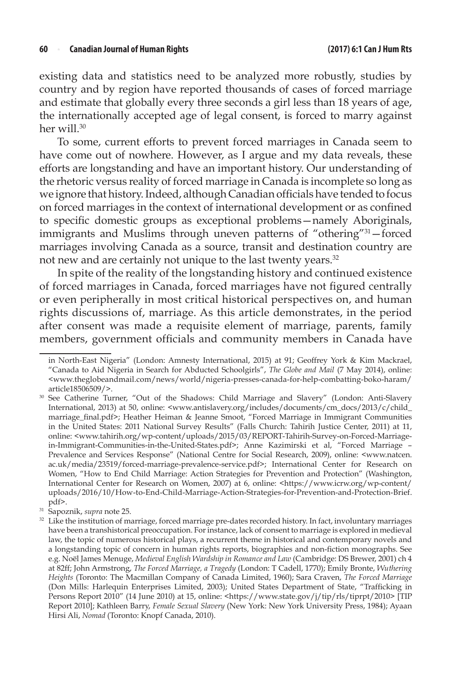#### **60** <sup>n</sup> **Canadian Journal of Human Rights (2017) 6:1 Can J Hum Rts**

existing data and statistics need to be analyzed more robustly, studies by country and by region have reported thousands of cases of forced marriage and estimate that globally every three seconds a girl less than 18 years of age, the internationally accepted age of legal consent, is forced to marry against her will.<sup>30</sup>

To some, current efforts to prevent forced marriages in Canada seem to have come out of nowhere. However, as I argue and my data reveals, these efforts are longstanding and have an important history. Our understanding of the rhetoric versus reality of forced marriage in Canada is incomplete so long as we ignore that history. Indeed, although Canadian officials have tended to focus on forced marriages in the context of international development or as confined to specific domestic groups as exceptional problems—namely Aboriginals, immigrants and Muslims through uneven patterns of "othering"<sup>31</sup>-forced marriages involving Canada as a source, transit and destination country are not new and are certainly not unique to the last twenty years.<sup>32</sup>

In spite of the reality of the longstanding history and continued existence of forced marriages in Canada, forced marriages have not figured centrally or even peripherally in most critical historical perspectives on, and human rights discussions of, marriage. As this article demonstrates, in the period after consent was made a requisite element of marriage, parents, family members, government officials and community members in Canada have

in North-East Nigeria" (London: Amnesty International, 2015) at 91; Geoffrey York & Kim Mackrael, "Canada to Aid Nigeria in Search for Abducted Schoolgirls", *The Globe and Mail* (7 May 2014), online: <www.theglobeandmail.com/news/world/nigeria-presses-canada-for-help-combatting-boko-haram/ article18506509/>.

<sup>30</sup> See Catherine Turner, "Out of the Shadows: Child Marriage and Slavery" (London: Anti-Slavery International, 2013) at 50, online: <www.antislavery.org/includes/documents/cm\_docs/2013/c/child\_ marriage\_final.pdf>; Heather Heiman & Jeanne Smoot, "Forced Marriage in Immigrant Communities in the United States: 2011 National Survey Results" (Falls Church: Tahirih Justice Center, 2011) at 11, online: <www.tahirih.org/wp-content/uploads/2015/03/REPORT-Tahirih-Survey-on-Forced-Marriagein-Immigrant-Communities-in-the-United-States.pdf>; Anne Kazimirski et al, "Forced Marriage – Prevalence and Services Response" (National Centre for Social Research, 2009), online: <www.natcen. ac.uk/media/23519/forced-marriage-prevalence-service.pdf>; International Center for Research on Women, "How to End Child Marriage: Action Strategies for Prevention and Protection" (Washington, International Center for Research on Women, 2007) at 6, online: <https://www.icrw.org/wp-content/ uploads/2016/10/How-to-End-Child-Marriage-Action-Strategies-for-Prevention-and-Protection-Brief.

pdf>.<br><sup>31</sup> Sapoznik, *supra* note 25.

<sup>&</sup>lt;sup>32</sup> Like the institution of marriage, forced marriage pre-dates recorded history. In fact, involuntary marriages have been a transhistorical preoccupation. For instance, lack of consent to marriage is explored in medieval law, the topic of numerous historical plays, a recurrent theme in historical and contemporary novels and a longstanding topic of concern in human rights reports, biographies and non-fiction monographs. See e.g. Noël James Menuge, *Medieval English Wardship in Romance and Law* (Cambridge: DS Brewer, 2001) ch 4 at 82ff; John Armstrong, *The Forced Marriage, a Tragedy* (London: T Cadell, 1770); Emily Bronte, *Wuthering Heights* (Toronto: The Macmillan Company of Canada Limited, 1960); Sara Craven, *The Forced Marriage* (Don Mills: Harlequin Enterprises Limited, 2003); United States Department of State, "Trafficking in Persons Report 2010" (14 June 2010) at 15, online: <https://www.state.gov/j/tip/rls/tiprpt/2010> [TIP Report 2010]; Kathleen Barry, *Female Sexual Slavery* (New York: New York University Press, 1984); Ayaan Hirsi Ali, *Nomad* (Toronto: Knopf Canada, 2010).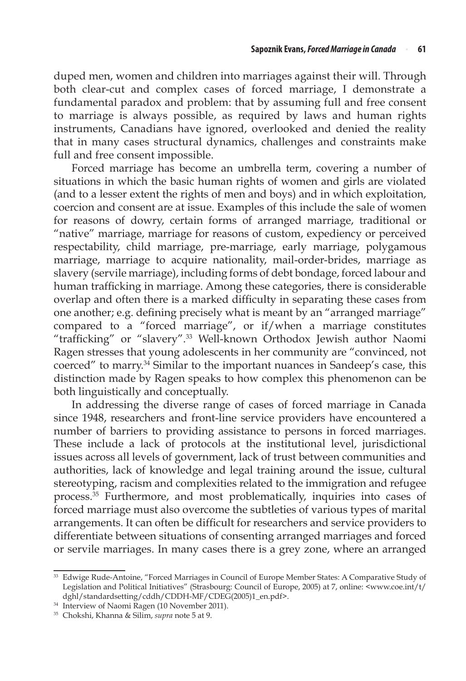duped men, women and children into marriages against their will. Through both clear-cut and complex cases of forced marriage, I demonstrate a fundamental paradox and problem: that by assuming full and free consent to marriage is always possible, as required by laws and human rights instruments, Canadians have ignored, overlooked and denied the reality that in many cases structural dynamics, challenges and constraints make full and free consent impossible.

Forced marriage has become an umbrella term, covering a number of situations in which the basic human rights of women and girls are violated (and to a lesser extent the rights of men and boys) and in which exploitation, coercion and consent are at issue. Examples of this include the sale of women for reasons of dowry, certain forms of arranged marriage, traditional or "native" marriage, marriage for reasons of custom, expediency or perceived respectability, child marriage, pre-marriage, early marriage, polygamous marriage, marriage to acquire nationality, mail-order-brides, marriage as slavery (servile marriage), including forms of debt bondage, forced labour and human trafficking in marriage. Among these categories, there is considerable overlap and often there is a marked difficulty in separating these cases from one another; e.g. defining precisely what is meant by an "arranged marriage" compared to a "forced marriage", or if/when a marriage constitutes "trafficking" or "slavery".<sup>33</sup> Well-known Orthodox Jewish author Naomi Ragen stresses that young adolescents in her community are "convinced, not coerced" to marry.34 Similar to the important nuances in Sandeep's case, this distinction made by Ragen speaks to how complex this phenomenon can be both linguistically and conceptually.

In addressing the diverse range of cases of forced marriage in Canada since 1948, researchers and front-line service providers have encountered a number of barriers to providing assistance to persons in forced marriages. These include a lack of protocols at the institutional level, jurisdictional issues across all levels of government, lack of trust between communities and authorities, lack of knowledge and legal training around the issue, cultural stereotyping, racism and complexities related to the immigration and refugee process.35 Furthermore, and most problematically, inquiries into cases of forced marriage must also overcome the subtleties of various types of marital arrangements. It can often be difficult for researchers and service providers to differentiate between situations of consenting arranged marriages and forced or servile marriages. In many cases there is a grey zone, where an arranged

<sup>&</sup>lt;sup>33</sup> Edwige Rude-Antoine, "Forced Marriages in Council of Europe Member States: A Comparative Study of Legislation and Political Initiatives" (Strasbourg: Council of Europe, 2005) at 7, online: <www.coe.int/t/ dghl/standardsetting/cddh/CDDH-MF/CDEG(2005)1\_en.pdf>.

<sup>34</sup> Interview of Naomi Ragen (10 November 2011).

<sup>35</sup> Chokshi, Khanna & Silim, *supra* note 5 at 9.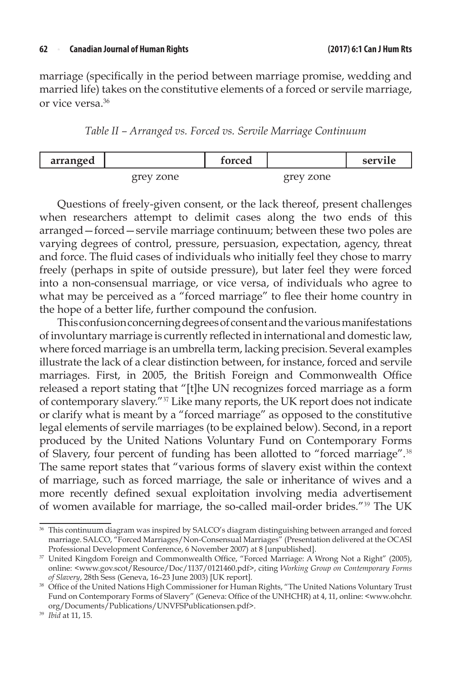marriage (specifically in the period between marriage promise, wedding and married life) takes on the constitutive elements of a forced or servile marriage, or vice versa.36

*Table II – Arranged vs. Forced vs. Servile Marriage Continuum*

| arranged |           | torced |           | servile |
|----------|-----------|--------|-----------|---------|
|          | grey zone |        | grey zone |         |

Questions of freely-given consent, or the lack thereof, present challenges when researchers attempt to delimit cases along the two ends of this arranged—forced—servile marriage continuum; between these two poles are varying degrees of control, pressure, persuasion, expectation, agency, threat and force. The fluid cases of individuals who initially feel they chose to marry freely (perhaps in spite of outside pressure), but later feel they were forced into a non-consensual marriage, or vice versa, of individuals who agree to what may be perceived as a "forced marriage" to flee their home country in the hope of a better life, further compound the confusion.

This confusion concerning degrees of consent and the various manifestations of involuntary marriage is currently reflected in international and domestic law, where forced marriage is an umbrella term, lacking precision. Several examples illustrate the lack of a clear distinction between, for instance, forced and servile marriages. First, in 2005, the British Foreign and Commonwealth Office released a report stating that "[t]he UN recognizes forced marriage as a form of contemporary slavery."<sup>37</sup> Like many reports, the UK report does not indicate or clarify what is meant by a "forced marriage" as opposed to the constitutive legal elements of servile marriages (to be explained below). Second, in a report produced by the United Nations Voluntary Fund on Contemporary Forms of Slavery, four percent of funding has been allotted to "forced marriage".<sup>38</sup> The same report states that "various forms of slavery exist within the context of marriage, such as forced marriage, the sale or inheritance of wives and a more recently defined sexual exploitation involving media advertisement of women available for marriage, the so-called mail-order brides."<sup>39</sup> The UK

<sup>&</sup>lt;sup>36</sup> This continuum diagram was inspired by SALCO's diagram distinguishing between arranged and forced marriage. SALCO, "Forced Marriages/Non-Consensual Marriages" (Presentation delivered at the OCASI Professional Development Conference, 6 November 2007) at 8 [unpublished].

<sup>37</sup> United Kingdom Foreign and Commonwealth Office, "Forced Marriage: A Wrong Not a Right" (2005), online: <www.gov.scot/Resource/Doc/1137/0121460.pdf>, citing *Working Group on Contemporary Forms of Slavery*, 28th Sess (Geneva, 16–23 June 2003) [UK report].

<sup>&</sup>lt;sup>38</sup> Office of the United Nations High Commissioner for Human Rights, "The United Nations Voluntary Trust Fund on Contemporary Forms of Slavery" (Geneva: Office of the UNHCHR) at 4, 11, online: <www.ohchr. org/Documents/Publications/UNVFSPublicationsen.pdf>.

<sup>39</sup> *Ibid* at 11, 15.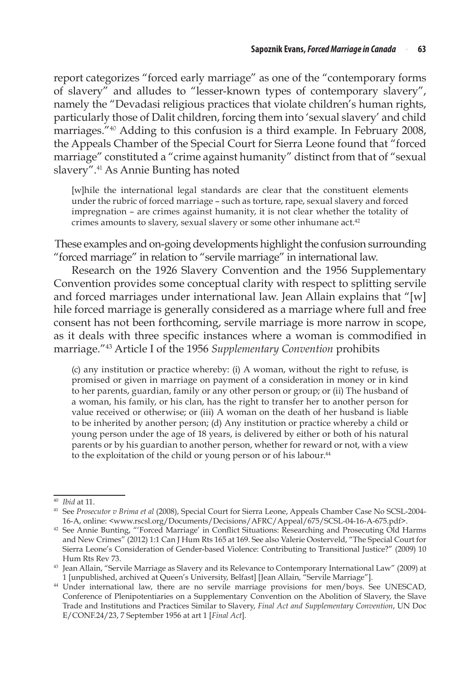report categorizes "forced early marriage" as one of the "contemporary forms of slavery" and alludes to "lesser-known types of contemporary slavery", namely the "Devadasi religious practices that violate children's human rights, particularly those of Dalit children, forcing them into 'sexual slavery' and child marriages."<sup>40</sup> Adding to this confusion is a third example. In February 2008, the Appeals Chamber of the Special Court for Sierra Leone found that "forced marriage" constituted a "crime against humanity" distinct from that of "sexual slavery".<sup>41</sup> As Annie Bunting has noted

[w]hile the international legal standards are clear that the constituent elements under the rubric of forced marriage – such as torture, rape, sexual slavery and forced impregnation – are crimes against humanity, it is not clear whether the totality of crimes amounts to slavery, sexual slavery or some other inhumane act.<sup>42</sup>

These examples and on-going developments highlight the confusion surrounding "forced marriage" in relation to "servile marriage" in international law.

Research on the 1926 Slavery Convention and the 1956 Supplementary Convention provides some conceptual clarity with respect to splitting servile and forced marriages under international law. Jean Allain explains that "[w] hile forced marriage is generally considered as a marriage where full and free consent has not been forthcoming, servile marriage is more narrow in scope, as it deals with three specific instances where a woman is commodified in marriage."43 Article I of the 1956 *Supplementary Convention* prohibits

(c) any institution or practice whereby: (i) A woman, without the right to refuse, is promised or given in marriage on payment of a consideration in money or in kind to her parents, guardian, family or any other person or group; or (ii) The husband of a woman, his family, or his clan, has the right to transfer her to another person for value received or otherwise; or (iii) A woman on the death of her husband is liable to be inherited by another person; (d) Any institution or practice whereby a child or young person under the age of 18 years, is delivered by either or both of his natural parents or by his guardian to another person, whether for reward or not, with a view to the exploitation of the child or young person or of his labour.<sup>44</sup>

<sup>40</sup> *Ibid* at 11.

<sup>41</sup> See *Prosecutor v Brima et al* (2008), Special Court for Sierra Leone, Appeals Chamber Case No SCSL-2004- 16-A, online: <www.rscsl.org/Documents/Decisions/AFRC/Appeal/675/SCSL-04-16-A-675.pdf>.

<sup>42</sup> See Annie Bunting, "'Forced Marriage' in Conflict Situations: Researching and Prosecuting Old Harms and New Crimes" (2012) 1:1 Can J Hum Rts 165 at 169. See also Valerie Oosterveld, "The Special Court for Sierra Leone's Consideration of Gender-based Violence: Contributing to Transitional Justice?" (2009) 10 Hum Rts Rev 73.

<sup>43</sup> Jean Allain, "Servile Marriage as Slavery and its Relevance to Contemporary International Law" (2009) at 1 [unpublished, archived at Queen's University, Belfast] [Jean Allain, "Servile Marriage"].

<sup>44</sup> Under international law, there are no servile marriage provisions for men/boys. See UNESCAD, Conference of Plenipotentiaries on a Supplementary Convention on the Abolition of Slavery, the Slave Trade and Institutions and Practices Similar to Slavery, *Final Act and Supplementary Convention*, UN Doc E/CONF.24/23, 7 September 1956 at art 1 [*Final Act*].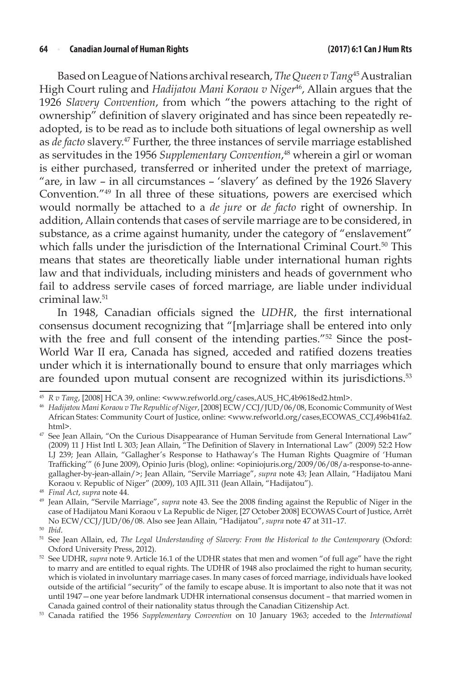Based on League of Nations archival research, *The Queen v Tang*45 Australian High Court ruling and *Hadijatou Mani Koraou v Niger*46, Allain argues that the 1926 *Slavery Convention*, from which "the powers attaching to the right of ownership" definition of slavery originated and has since been repeatedly readopted, is to be read as to include both situations of legal ownership as well as *de facto* slavery.47 Further, the three instances of servile marriage established as servitudes in the 1956 *Supplementary Convention*, 48 wherein a girl or woman is either purchased, transferred or inherited under the pretext of marriage, "are, in law – in all circumstances – 'slavery' as defined by the 1926 Slavery Convention."49 In all three of these situations, powers are exercised which would normally be attached to a *de jure* or *de facto* right of ownership. In addition, Allain contends that cases of servile marriage are to be considered, in substance, as a crime against humanity, under the category of "enslavement" which falls under the jurisdiction of the International Criminal Court.<sup>50</sup> This means that states are theoretically liable under international human rights law and that individuals, including ministers and heads of government who fail to address servile cases of forced marriage, are liable under individual criminal law.51

In 1948, Canadian officials signed the *UDHR*, the first international consensus document recognizing that "[m]arriage shall be entered into only with the free and full consent of the intending parties."<sup>52</sup> Since the post-World War II era, Canada has signed, acceded and ratified dozens treaties under which it is internationally bound to ensure that only marriages which are founded upon mutual consent are recognized within its jurisdictions.<sup>53</sup>

<sup>45</sup> *R v Tang*, [2008] HCA 39, online: <www.refworld.org/cases,AUS\_HC,4b9618ed2.html>.

<sup>46</sup> *Hadijatou Mani Koraou v The Republic of Niger*,[2008] ECW/CCJ/JUD/06/08, Economic Community of West African States: Community Court of Justice, online: <www.refworld.org/cases,ECOWAS\_CCJ,496b41fa2. html>.

<sup>&</sup>lt;sup>47</sup> See Jean Allain, "On the Curious Disappearance of Human Servitude from General International Law" (2009) 11 J Hist Intl L 303; Jean Allain, "The Definition of Slavery in International Law" (2009) 52:2 How LJ 239; Jean Allain, "Gallagher's Response to Hathaway's The Human Rights Quagmire of 'Human Trafficking'" (6 June 2009), Opinio Juris (blog), online: <opiniojuris.org/2009/06/08/a-response-to-annegallagher-by-jean-allain/>; Jean Allain, "Servile Marriage", *supra* note 43; Jean Allain, "Hadijatou Mani Koraou v. Republic of Niger" (2009), 103 AJIL 311 (Jean Allain, "Hadijatou").

<sup>48</sup> *Final Act*, *supra* note 44.

<sup>49</sup> Jean Allain, "Servile Marriage", *supra* note 43. See the 2008 finding against the Republic of Niger in the case of Hadijatou Mani Koraou v La Republic de Niger, [27 October 2008] ECOWAS Court of Justice, Arrêt No ECW/CCJ/JUD/06/08. Also see Jean Allain, "Hadijatou", *supra* note 47 at 311–17.

<sup>&</sup>lt;sup>51</sup> See Jean Allain, ed, *The Legal Understanding of Slavery: From the Historical to the Contemporary (Oxford:* Oxford University Press, 2012).

<sup>52</sup> See UDHR, *supra* note 9. Article 16.1 of the UDHR states that men and women "of full age" have the right to marry and are entitled to equal rights. The UDHR of 1948 also proclaimed the right to human security, which is violated in involuntary marriage cases. In many cases of forced marriage, individuals have looked outside of the artificial "security" of the family to escape abuse. It is important to also note that it was not until 1947—one year before landmark UDHR international consensus document – that married women in Canada gained control of their nationality status through the Canadian Citizenship Act.

<sup>53</sup> Canada ratified the 1956 *Supplementary Convention* on 10 January 1963; acceded to the *International*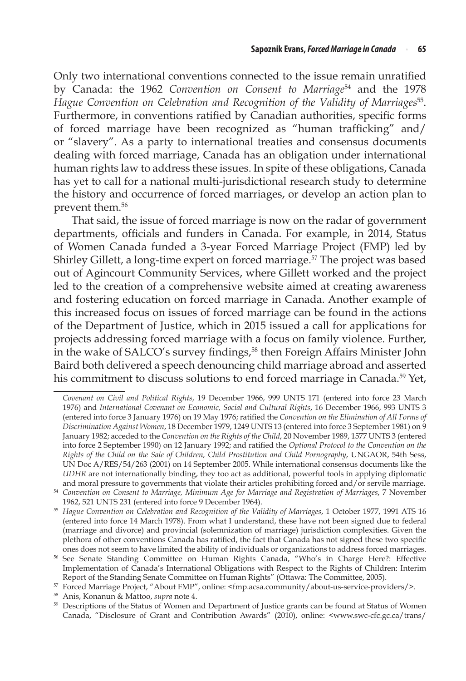Only two international conventions connected to the issue remain unratified by Canada: the 1962 *Convention on Consent to Marriage*<sup>54</sup> and the 1978 Hague Convention on Celebration and Recognition of the Validity of Marriages<sup>55</sup>. Furthermore, in conventions ratified by Canadian authorities, specific forms of forced marriage have been recognized as "human trafficking" and/ or "slavery". As a party to international treaties and consensus documents dealing with forced marriage, Canada has an obligation under international human rights law to address these issues. In spite of these obligations, Canada has yet to call for a national multi-jurisdictional research study to determine the history and occurrence of forced marriages, or develop an action plan to prevent them.56

That said, the issue of forced marriage is now on the radar of government departments, officials and funders in Canada. For example, in 2014, Status of Women Canada funded a 3-year Forced Marriage Project (FMP) led by Shirley Gillett, a long-time expert on forced marriage.<sup>57</sup> The project was based out of Agincourt Community Services, where Gillett worked and the project led to the creation of a comprehensive website aimed at creating awareness and fostering education on forced marriage in Canada. Another example of this increased focus on issues of forced marriage can be found in the actions of the Department of Justice, which in 2015 issued a call for applications for projects addressing forced marriage with a focus on family violence. Further, in the wake of SALCO's survey findings,<sup>58</sup> then Foreign Affairs Minister John Baird both delivered a speech denouncing child marriage abroad and asserted his commitment to discuss solutions to end forced marriage in Canada.<sup>59</sup> Yet,

*Covenant on Civil and Political Rights*, 19 December 1966, 999 UNTS 171 (entered into force 23 March 1976) and *International Covenant on Economic, Social and Cultural Rights*, 16 December 1966, 993 UNTS 3 (entered into force 3 January 1976) on 19 May 1976; ratified the *Convention on the Elimination of All Forms of Discrimination Against Women*, 18 December 1979, 1249 UNTS 13 (entered into force 3 September 1981) on 9 January 1982; acceded to the *Convention on the Rights of the Child*, 20 November 1989, 1577 UNTS 3 (entered into force 2 September 1990) on 12 January 1992; and ratified the *Optional Protocol to the Convention on the Rights of the Child on the Sale of Children, Child Prostitution and Child Pornography*, UNGAOR, 54th Sess, UN Doc A/RES/54/263 (2001) on 14 September 2005. While international consensus documents like the *UDHR* are not internationally binding, they too act as additional, powerful tools in applying diplomatic

and moral pressure to governments that violate their articles prohibiting forced and/or servile marriage. 54 *Convention on Consent to Marriage, Minimum Age for Marriage and Registration of Marriages*, 7 November 1962, 521 UNTS 231 (entered into force 9 December 1964).

<sup>&</sup>lt;sup>55</sup> Hague Convention on Celebration and Recognition of the Validity of Marriages, 1 October 1977, 1991 ATS 16 (entered into force 14 March 1978). From what I understand, these have not been signed due to federal (marriage and divorce) and provincial (solemnization of marriage) jurisdiction complexities. Given the plethora of other conventions Canada has ratified, the fact that Canada has not signed these two specific ones does not seem to have limited the ability of individuals or organizations to address forced marriages.

<sup>56</sup> See Senate Standing Committee on Human Rights Canada, "Who's in Charge Here?: Effective Implementation of Canada's International Obligations with Respect to the Rights of Children: Interim

Report of the Standing Senate Committee on Human Rights" (Ottawa: The Committee, 2005). 57 Forced Marriage Project, "About FMP", online: <fmp.acsa.community/about-us-service-providers/>.

<sup>58</sup> Anis, Konanun & Mattoo, *supra* note 4.

<sup>&</sup>lt;sup>59</sup> Descriptions of the Status of Women and Department of Justice grants can be found at Status of Women Canada, "Disclosure of Grant and Contribution Awards" (2010), online: <www.swc-cfc.gc.ca/trans/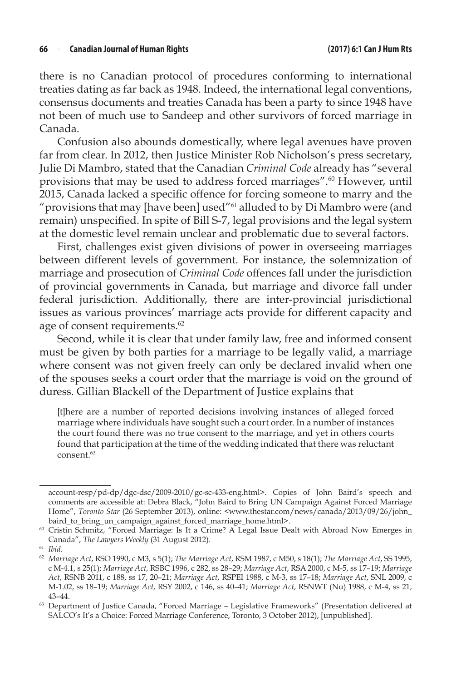#### **66** <sup>n</sup> **Canadian Journal of Human Rights (2017) 6:1 Can J Hum Rts**

there is no Canadian protocol of procedures conforming to international treaties dating as far back as 1948. Indeed, the international legal conventions, consensus documents and treaties Canada has been a party to since 1948 have not been of much use to Sandeep and other survivors of forced marriage in Canada.

Confusion also abounds domestically, where legal avenues have proven far from clear. In 2012, then Justice Minister Rob Nicholson's press secretary, Julie Di Mambro, stated that the Canadian *Criminal Code* already has "several provisions that may be used to address forced marriages".<sup>60</sup> However, until 2015, Canada lacked a specific offence for forcing someone to marry and the "provisions that may [have been] used"<sup>61</sup> alluded to by Di Mambro were (and remain) unspecified. In spite of Bill S-7, legal provisions and the legal system at the domestic level remain unclear and problematic due to several factors.

First, challenges exist given divisions of power in overseeing marriages between different levels of government. For instance, the solemnization of marriage and prosecution of *Criminal Code* offences fall under the jurisdiction of provincial governments in Canada, but marriage and divorce fall under federal jurisdiction. Additionally, there are inter-provincial jurisdictional issues as various provinces' marriage acts provide for different capacity and age of consent requirements.<sup>62</sup>

Second, while it is clear that under family law, free and informed consent must be given by both parties for a marriage to be legally valid, a marriage where consent was not given freely can only be declared invalid when one of the spouses seeks a court order that the marriage is void on the ground of duress. Gillian Blackell of the Department of Justice explains that

[t]here are a number of reported decisions involving instances of alleged forced marriage where individuals have sought such a court order. In a number of instances the court found there was no true consent to the marriage, and yet in others courts found that participation at the time of the wedding indicated that there was reluctant consent.<sup>63</sup>

account-resp/pd-dp/dgc-dsc/2009-2010/gc-sc-433-eng.html>. Copies of John Baird's speech and comments are accessible at: Debra Black, "John Baird to Bring UN Campaign Against Forced Marriage Home", *Toronto Star* (26 September 2013), online: <www.thestar.com/news/canada/2013/09/26/john\_ baird\_to\_bring\_un\_campaign\_against\_forced\_marriage\_home.html>.

<sup>60</sup> Cristin Schmitz, "Forced Marriage: Is It a Crime? A Legal Issue Dealt with Abroad Now Emerges in Canada", *The Lawyers Weekly* (31 August 2012).

<sup>61</sup> *Ibid*.

<sup>62</sup> *Marriage Act*, RSO 1990, c M3, s 5(1); *The Marriage Act*, RSM 1987, c M50, s 18(1); *The Marriage Act*, SS 1995, c M-4.1, s 25(1); *Marriage Act*, RSBC 1996, c 282, ss 28–29; *Marriage Act*, RSA 2000, c M-5, ss 17–19; *Marriage Act*, RSNB 2011, c 188, ss 17, 20–21; *Marriage Act*, RSPEI 1988, c M-3, ss 17–18; *Marriage Act*, SNL 2009, c M-1.02, ss 18–19; *Marriage Act*, RSY 2002, c 146, ss 40–41; *Marriage Act*, RSNWT (Nu) 1988, c M-4, ss 21, 43–44.

<sup>&</sup>lt;sup>63</sup> Department of Justice Canada, "Forced Marriage - Legislative Frameworks" (Presentation delivered at SALCO's It's a Choice: Forced Marriage Conference, Toronto, 3 October 2012), [unpublished].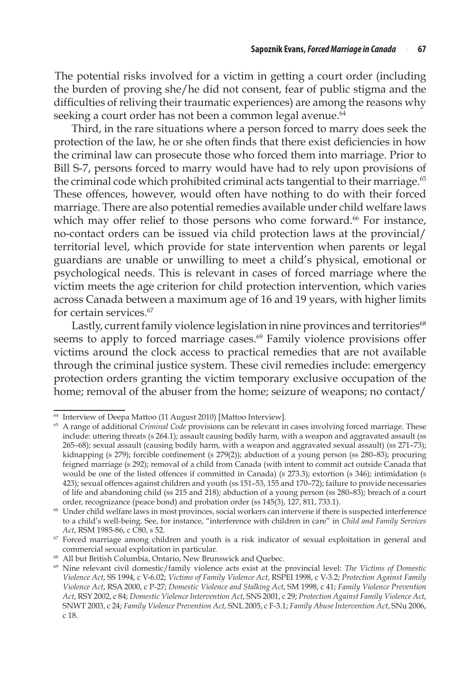The potential risks involved for a victim in getting a court order (including the burden of proving she/he did not consent, fear of public stigma and the difficulties of reliving their traumatic experiences) are among the reasons why seeking a court order has not been a common legal avenue. $64$ 

Third, in the rare situations where a person forced to marry does seek the protection of the law, he or she often finds that there exist deficiencies in how the criminal law can prosecute those who forced them into marriage. Prior to Bill S-7, persons forced to marry would have had to rely upon provisions of the criminal code which prohibited criminal acts tangential to their marriage.<sup>65</sup> These offences, however, would often have nothing to do with their forced marriage. There are also potential remedies available under child welfare laws which may offer relief to those persons who come forward.<sup>66</sup> For instance, no-contact orders can be issued via child protection laws at the provincial/ territorial level, which provide for state intervention when parents or legal guardians are unable or unwilling to meet a child's physical, emotional or psychological needs. This is relevant in cases of forced marriage where the victim meets the age criterion for child protection intervention, which varies across Canada between a maximum age of 16 and 19 years, with higher limits for certain services.67

Lastly, current family violence legislation in nine provinces and territories<sup>68</sup> seems to apply to forced marriage cases.<sup>69</sup> Family violence provisions offer victims around the clock access to practical remedies that are not available through the criminal justice system. These civil remedies include: emergency protection orders granting the victim temporary exclusive occupation of the home; removal of the abuser from the home; seizure of weapons; no contact/

<sup>64</sup> Interview of Deepa Mattoo (11 August 2010) [Mattoo Interview].

<sup>65</sup> A range of additional *Criminal Code* provisions can be relevant in cases involving forced marriage. These include: uttering threats (s 264.1); assault causing bodily harm, with a weapon and aggravated assault (ss 265–68); sexual assault (causing bodily harm, with a weapon and aggravated sexual assault) (ss 271–73); kidnapping (s 279); forcible confinement (s 279(2)); abduction of a young person (ss 280–83); procuring feigned marriage (s 292); removal of a child from Canada (with intent to commit act outside Canada that would be one of the listed offences if committed in Canada) (s 273.3); extortion (s 346); intimidation (s 423); sexual offences against children and youth (ss 151–53, 155 and 170–72); failure to provide necessaries of life and abandoning child (ss 215 and 218); abduction of a young person (ss 280–83); breach of a court order, recognizance (peace bond) and probation order (ss 145(3), 127, 811, 733.1).<br>
<sup>66</sup> Under child welfare laws in most provinces, social workers can intervene if there is suspected interference

to a child's well-being. See, for instance, "interference with children in care" in *Child and Family Services Act*, RSM 1985-86, c C80, s 52.

<sup>&</sup>lt;sup>67</sup> Forced marriage among children and youth is a risk indicator of sexual exploitation in general and

commercial sexual exploitation in particular. 68 All but British Columbia, Ontario, New Brunswick and Quebec.

<sup>69</sup> Nine relevant civil domestic/family violence acts exist at the provincial level: *The Victims of Domestic Violence Act*, SS 1994, c V-6.02; *Victims of Family Violence Act*, RSPEI 1998, c V-3.2; *Protection Against Family Violence Act*, RSA 2000, c P-27; *Domestic Violence and Stalking Act*, SM 1998, c 41; *Family Violence Prevention Act*, RSY 2002, c 84; *Domestic Violence Intervention Act*, SNS 2001, c 29; *Protection Against Family Violence Act*, SNWT 2003, c 24; *Family Violence Prevention Act*, SNL 2005, c F-3.1; *Family Abuse Intervention Act*, SNu 2006, c 18.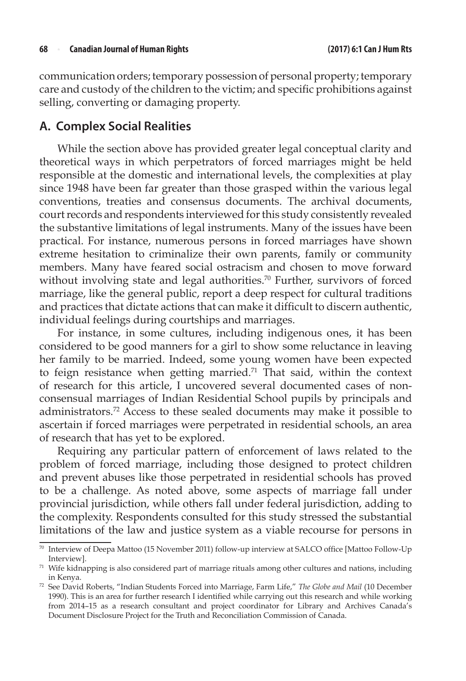communication orders; temporary possession of personal property; temporary care and custody of the children to the victim; and specific prohibitions against selling, converting or damaging property.

### **A. Complex Social Realities**

While the section above has provided greater legal conceptual clarity and theoretical ways in which perpetrators of forced marriages might be held responsible at the domestic and international levels, the complexities at play since 1948 have been far greater than those grasped within the various legal conventions, treaties and consensus documents. The archival documents, court records and respondents interviewed for this study consistently revealed the substantive limitations of legal instruments. Many of the issues have been practical. For instance, numerous persons in forced marriages have shown extreme hesitation to criminalize their own parents, family or community members. Many have feared social ostracism and chosen to move forward without involving state and legal authorities.<sup>70</sup> Further, survivors of forced marriage, like the general public, report a deep respect for cultural traditions and practices that dictate actions that can make it difficult to discern authentic, individual feelings during courtships and marriages.

For instance, in some cultures, including indigenous ones, it has been considered to be good manners for a girl to show some reluctance in leaving her family to be married. Indeed, some young women have been expected to feign resistance when getting married.71 That said, within the context of research for this article, I uncovered several documented cases of nonconsensual marriages of Indian Residential School pupils by principals and administrators.72 Access to these sealed documents may make it possible to ascertain if forced marriages were perpetrated in residential schools, an area of research that has yet to be explored.

Requiring any particular pattern of enforcement of laws related to the problem of forced marriage, including those designed to protect children and prevent abuses like those perpetrated in residential schools has proved to be a challenge. As noted above, some aspects of marriage fall under provincial jurisdiction, while others fall under federal jurisdiction, adding to the complexity. Respondents consulted for this study stressed the substantial limitations of the law and justice system as a viable recourse for persons in

<sup>70</sup> Interview of Deepa Mattoo (15 November 2011) follow-up interview at SALCO office [Mattoo Follow-Up Interview].

 $71$  Wife kidnapping is also considered part of marriage rituals among other cultures and nations, including in Kenya.

<sup>72</sup> See David Roberts, "Indian Students Forced into Marriage, Farm Life," *The Globe and Mail* (10 December 1990). This is an area for further research I identified while carrying out this research and while working from 2014–15 as a research consultant and project coordinator for Library and Archives Canada's Document Disclosure Project for the Truth and Reconciliation Commission of Canada.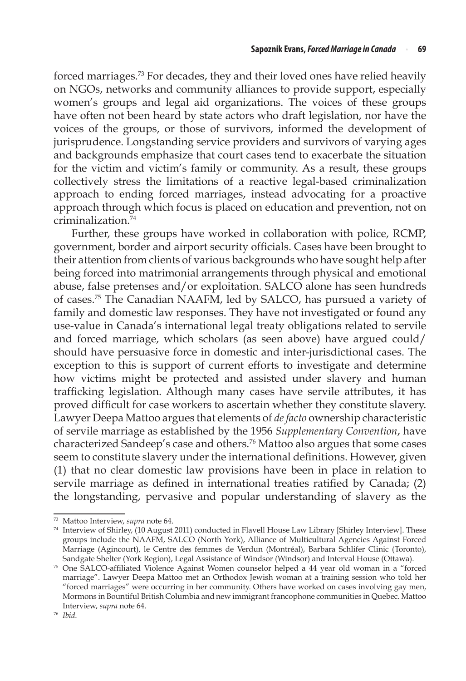forced marriages.73 For decades, they and their loved ones have relied heavily on NGOs, networks and community alliances to provide support, especially women's groups and legal aid organizations. The voices of these groups have often not been heard by state actors who draft legislation, nor have the voices of the groups, or those of survivors, informed the development of jurisprudence. Longstanding service providers and survivors of varying ages and backgrounds emphasize that court cases tend to exacerbate the situation for the victim and victim's family or community. As a result, these groups collectively stress the limitations of a reactive legal-based criminalization approach to ending forced marriages, instead advocating for a proactive approach through which focus is placed on education and prevention, not on criminalization.74

Further, these groups have worked in collaboration with police, RCMP, government, border and airport security officials. Cases have been brought to their attention from clients of various backgrounds who have sought help after being forced into matrimonial arrangements through physical and emotional abuse, false pretenses and/or exploitation. SALCO alone has seen hundreds of cases.75 The Canadian NAAFM, led by SALCO, has pursued a variety of family and domestic law responses. They have not investigated or found any use-value in Canada's international legal treaty obligations related to servile and forced marriage, which scholars (as seen above) have argued could/ should have persuasive force in domestic and inter-jurisdictional cases. The exception to this is support of current efforts to investigate and determine how victims might be protected and assisted under slavery and human trafficking legislation. Although many cases have servile attributes, it has proved difficult for case workers to ascertain whether they constitute slavery. Lawyer Deepa Mattoo argues that elements of *de facto* ownership characteristic of servile marriage as established by the 1956 *Supplementary Convention*, have characterized Sandeep's case and others.76 Mattoo also argues that some cases seem to constitute slavery under the international definitions. However, given (1) that no clear domestic law provisions have been in place in relation to servile marriage as defined in international treaties ratified by Canada; (2) the longstanding, pervasive and popular understanding of slavery as the

<sup>73</sup> Mattoo Interview, *supra* note 64.

<sup>74</sup> Interview of Shirley, (10 August 2011) conducted in Flavell House Law Library [Shirley Interview]. These groups include the NAAFM, SALCO (North York), Alliance of Multicultural Agencies Against Forced Marriage (Agincourt), le Centre des femmes de Verdun (Montréal), Barbara Schlifer Clinic (Toronto), Sandgate Shelter (York Region), Legal Assistance of Windsor (Windsor) and Interval House (Ottawa). 75 One SALCO-affiliated Violence Against Women counselor helped a 44 year old woman in a "forced

marriage". Lawyer Deepa Mattoo met an Orthodox Jewish woman at a training session who told her "forced marriages" were occurring in her community. Others have worked on cases involving gay men, Mormons in Bountiful British Columbia and new immigrant francophone communities in Quebec. Mattoo Interview, *supra* note 64. 76 *Ibid*.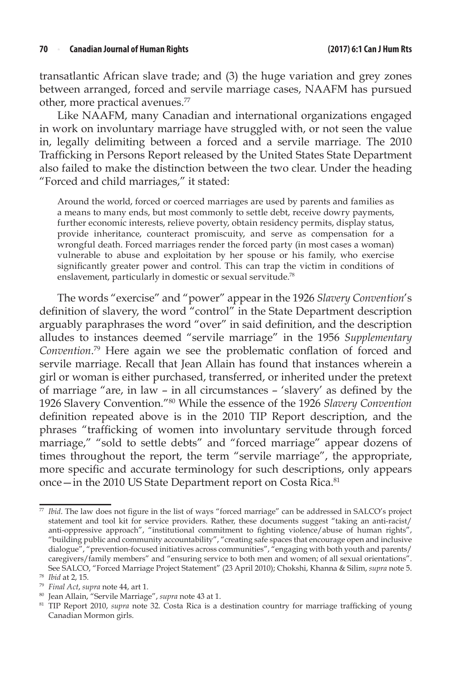transatlantic African slave trade; and (3) the huge variation and grey zones between arranged, forced and servile marriage cases, NAAFM has pursued other, more practical avenues.<sup>77</sup>

Like NAAFM, many Canadian and international organizations engaged in work on involuntary marriage have struggled with, or not seen the value in, legally delimiting between a forced and a servile marriage. The 2010 Trafficking in Persons Report released by the United States State Department also failed to make the distinction between the two clear. Under the heading "Forced and child marriages," it stated:

Around the world, forced or coerced marriages are used by parents and families as a means to many ends, but most commonly to settle debt, receive dowry payments, further economic interests, relieve poverty, obtain residency permits, display status, provide inheritance, counteract promiscuity, and serve as compensation for a wrongful death. Forced marriages render the forced party (in most cases a woman) vulnerable to abuse and exploitation by her spouse or his family, who exercise significantly greater power and control. This can trap the victim in conditions of enslavement, particularly in domestic or sexual servitude.<sup>78</sup>

The words "exercise" and "power" appear in the 1926 *Slavery Convention*'s definition of slavery, the word "control" in the State Department description arguably paraphrases the word "over" in said definition, and the description alludes to instances deemed "servile marriage" in the 1956 *Supplementary Convention*. <sup>79</sup> Here again we see the problematic conflation of forced and servile marriage. Recall that Jean Allain has found that instances wherein a girl or woman is either purchased, transferred, or inherited under the pretext of marriage "are, in law – in all circumstances – 'slavery' as defined by the 1926 Slavery Convention."80 While the essence of the 1926 *Slavery Convention* definition repeated above is in the 2010 TIP Report description, and the phrases "trafficking of women into involuntary servitude through forced marriage," "sold to settle debts" and "forced marriage" appear dozens of times throughout the report, the term "servile marriage", the appropriate, more specific and accurate terminology for such descriptions, only appears once - in the 2010 US State Department report on Costa Rica.<sup>81</sup>

<sup>77</sup> *Ibid*. The law does not figure in the list of ways "forced marriage" can be addressed in SALCO's project statement and tool kit for service providers. Rather, these documents suggest "taking an anti-racist/ anti-oppressive approach", "institutional commitment to fighting violence/abuse of human rights", "building public and community accountability", "creating safe spaces that encourage open and inclusive dialogue", "prevention-focused initiatives across communities", "engaging with both youth and parents/ caregivers/family members" and "ensuring service to both men and women; of all sexual orientations". See SALCO, "Forced Marriage Project Statement" (23 April 2010); Chokshi, Khanna & Silim, *supra* note 5. 78 *Ibid* at 2, 15.

<sup>79</sup> *Final Act*, *supra* note 44, art 1.

<sup>&</sup>lt;sup>81</sup> TIP Report 2010, *supra* note 32. Costa Rica is a destination country for marriage trafficking of young Canadian Mormon girls.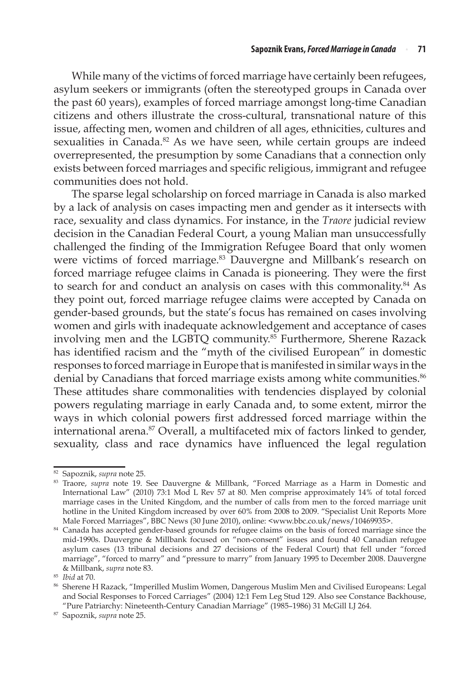While many of the victims of forced marriage have certainly been refugees, asylum seekers or immigrants (often the stereotyped groups in Canada over the past 60 years), examples of forced marriage amongst long-time Canadian citizens and others illustrate the cross-cultural, transnational nature of this issue, affecting men, women and children of all ages, ethnicities, cultures and sexualities in Canada.<sup>82</sup> As we have seen, while certain groups are indeed overrepresented, the presumption by some Canadians that a connection only exists between forced marriages and specific religious, immigrant and refugee communities does not hold.

The sparse legal scholarship on forced marriage in Canada is also marked by a lack of analysis on cases impacting men and gender as it intersects with race, sexuality and class dynamics. For instance, in the *Traore* judicial review decision in the Canadian Federal Court, a young Malian man unsuccessfully challenged the finding of the Immigration Refugee Board that only women were victims of forced marriage.<sup>83</sup> Dauvergne and Millbank's research on forced marriage refugee claims in Canada is pioneering. They were the first to search for and conduct an analysis on cases with this commonality.<sup>84</sup> As they point out, forced marriage refugee claims were accepted by Canada on gender-based grounds, but the state's focus has remained on cases involving women and girls with inadequate acknowledgement and acceptance of cases involving men and the LGBTQ community.<sup>85</sup> Furthermore, Sherene Razack has identified racism and the "myth of the civilised European" in domestic responses to forced marriage in Europe that is manifested in similar ways in the denial by Canadians that forced marriage exists among white communities.<sup>86</sup> These attitudes share commonalities with tendencies displayed by colonial powers regulating marriage in early Canada and, to some extent, mirror the ways in which colonial powers first addressed forced marriage within the international arena.87 Overall, a multifaceted mix of factors linked to gender, sexuality, class and race dynamics have influenced the legal regulation

<sup>82</sup> Sapoznik, *supra* note 25.

<sup>83</sup> Traore, *supra* note 19. See Dauvergne & Millbank, "Forced Marriage as a Harm in Domestic and International Law" (2010) 73:1 Mod L Rev 57 at 80. Men comprise approximately 14% of total forced marriage cases in the United Kingdom, and the number of calls from men to the forced marriage unit hotline in the United Kingdom increased by over 60% from 2008 to 2009. "Specialist Unit Reports More Male Forced Marriages", BBC News (30 June 2010), online: <www.bbc.co.uk/news/10469935>.

<sup>&</sup>lt;sup>84</sup> Canada has accepted gender-based grounds for refugee claims on the basis of forced marriage since the mid-1990s. Dauvergne & Millbank focused on "non-consent" issues and found 40 Canadian refugee asylum cases (13 tribunal decisions and 27 decisions of the Federal Court) that fell under "forced marriage", "forced to marry" and "pressure to marry" from January 1995 to December 2008. Dauvergne & Millbank, *supra* note 83.

<sup>85</sup> *Ibid* at 70.

<sup>86</sup> Sherene H Razack, "Imperilled Muslim Women, Dangerous Muslim Men and Civilised Europeans: Legal and Social Responses to Forced Carriages" (2004) 12:1 Fem Leg Stud 129. Also see Constance Backhouse, "Pure Patriarchy: Nineteenth-Century Canadian Marriage" (1985–1986) 31 McGill LJ 264.

<sup>87</sup> Sapoznik, *supra* note 25.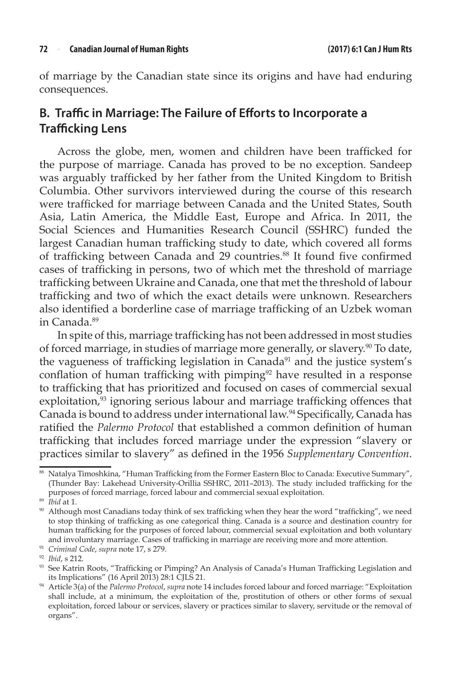of marriage by the Canadian state since its origins and have had enduring consequences.

### **B. Traffic in Marriage: The Failure of Efforts to Incorporate a Trafficking Lens**

Across the globe, men, women and children have been trafficked for the purpose of marriage. Canada has proved to be no exception. Sandeep was arguably trafficked by her father from the United Kingdom to British Columbia. Other survivors interviewed during the course of this research were trafficked for marriage between Canada and the United States, South Asia, Latin America, the Middle East, Europe and Africa. In 2011, the Social Sciences and Humanities Research Council (SSHRC) funded the largest Canadian human trafficking study to date, which covered all forms of trafficking between Canada and 29 countries.<sup>88</sup> It found five confirmed cases of trafficking in persons, two of which met the threshold of marriage trafficking between Ukraine and Canada, one that met the threshold of labour trafficking and two of which the exact details were unknown. Researchers also identified a borderline case of marriage trafficking of an Uzbek woman in Canada.89

In spite of this, marriage trafficking has not been addressed in most studies of forced marriage, in studies of marriage more generally, or slavery.<sup>90</sup> To date, the vagueness of trafficking legislation in Canada<sup>91</sup> and the justice system's conflation of human trafficking with pimping<sup>92</sup> have resulted in a response to trafficking that has prioritized and focused on cases of commercial sexual exploitation, $93$  ignoring serious labour and marriage trafficking offences that Canada is bound to address under international law.94 Specifically, Canada has ratified the *Palermo Protocol* that established a common definition of human trafficking that includes forced marriage under the expression "slavery or practices similar to slavery" as defined in the 1956 *Supplementary Convention*.

<sup>91</sup> *Criminal Code*, *supra* note 17, s 279. 92 *Ibid*, s 212.

<sup>88</sup> Natalya Timoshkina, "Human Trafficking from the Former Eastern Bloc to Canada: Executive Summary", (Thunder Bay: Lakehead University-Orillia SSHRC, 2011–2013). The study included trafficking for the purposes of forced marriage, forced labour and commercial sexual exploitation.

<sup>89</sup> *Ibid* at 1.

<sup>90</sup> Although most Canadians today think of sex trafficking when they hear the word "trafficking", we need to stop thinking of trafficking as one categorical thing. Canada is a source and destination country for human trafficking for the purposes of forced labour, commercial sexual exploitation and both voluntary and involuntary marriage. Cases of trafficking in marriage are receiving more and more attention.

<sup>93</sup> See Katrin Roots, "Trafficking or Pimping? An Analysis of Canada's Human Trafficking Legislation and its Implications" (16 April 2013) 28:1 CJLS 21.

<sup>94</sup> Article 3(a) of the *Palermo Protocol*, *supra* note 14 includes forced labour and forced marriage: "Exploitation shall include, at a minimum, the exploitation of the, prostitution of others or other forms of sexual exploitation, forced labour or services, slavery or practices similar to slavery, servitude or the removal of organs".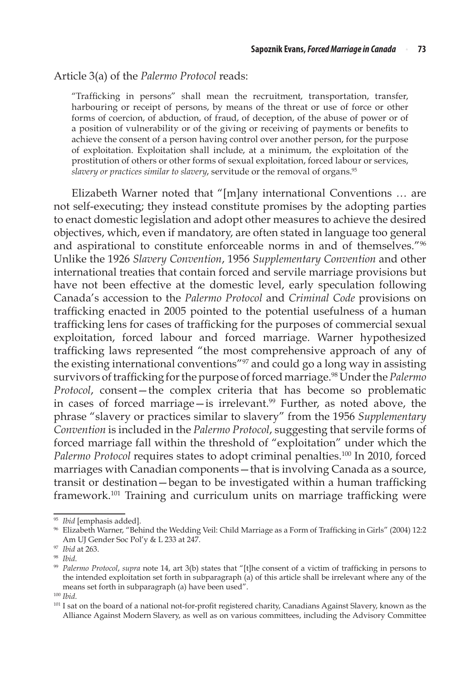#### Article 3(a) of the *Palermo Protocol* reads:

"Trafficking in persons" shall mean the recruitment, transportation, transfer, harbouring or receipt of persons, by means of the threat or use of force or other forms of coercion, of abduction, of fraud, of deception, of the abuse of power or of a position of vulnerability or of the giving or receiving of payments or benefits to achieve the consent of a person having control over another person, for the purpose of exploitation. Exploitation shall include, at a minimum, the exploitation of the prostitution of others or other forms of sexual exploitation, forced labour or services, slavery or practices similar to slavery, servitude or the removal of organs.<sup>95</sup>

Elizabeth Warner noted that "[m]any international Conventions … are not self-executing; they instead constitute promises by the adopting parties to enact domestic legislation and adopt other measures to achieve the desired objectives, which, even if mandatory, are often stated in language too general and aspirational to constitute enforceable norms in and of themselves."96 Unlike the 1926 *Slavery Convention*, 1956 *Supplementary Convention* and other international treaties that contain forced and servile marriage provisions but have not been effective at the domestic level, early speculation following Canada's accession to the *Palermo Protocol* and *Criminal Code* provisions on trafficking enacted in 2005 pointed to the potential usefulness of a human trafficking lens for cases of trafficking for the purposes of commercial sexual exploitation, forced labour and forced marriage. Warner hypothesized trafficking laws represented "the most comprehensive approach of any of the existing international conventions"97 and could go a long way in assisting survivors of trafficking for the purpose of forced marriage.98 Under the *Palermo Protocol*, consent—the complex criteria that has become so problematic in cases of forced marriage—is irrelevant.<sup>99</sup> Further, as noted above, the phrase "slavery or practices similar to slavery" from the 1956 *Supplementary Convention* is included in the *Palermo Protocol*, suggesting that servile forms of forced marriage fall within the threshold of "exploitation" under which the Palermo Protocol requires states to adopt criminal penalties.<sup>100</sup> In 2010, forced marriages with Canadian components—that is involving Canada as a source, transit or destination—began to be investigated within a human trafficking framework.101 Training and curriculum units on marriage trafficking were

<sup>95</sup> *Ibid* [emphasis added].

<sup>96</sup> Elizabeth Warner, "Behind the Wedding Veil: Child Marriage as a Form of Trafficking in Girls" (2004) 12:2 Am UJ Gender Soc Pol'y & L 233 at 247.

<sup>97</sup> *Ibid* at 263.

<sup>98</sup> *Ibid*.

<sup>99</sup> *Palermo Protocol*, *supra* note 14, art 3(b) states that "[t]he consent of a victim of trafficking in persons to the intended exploitation set forth in subparagraph (a) of this article shall be irrelevant where any of the means set forth in subparagraph (a) have been used".<br><sup>100</sup> *Ibid.* 101 *Ibid.* 101 I sat on the board of a national not-for-profit registered charity, Canadians Against Slavery, known as the

Alliance Against Modern Slavery, as well as on various committees, including the Advisory Committee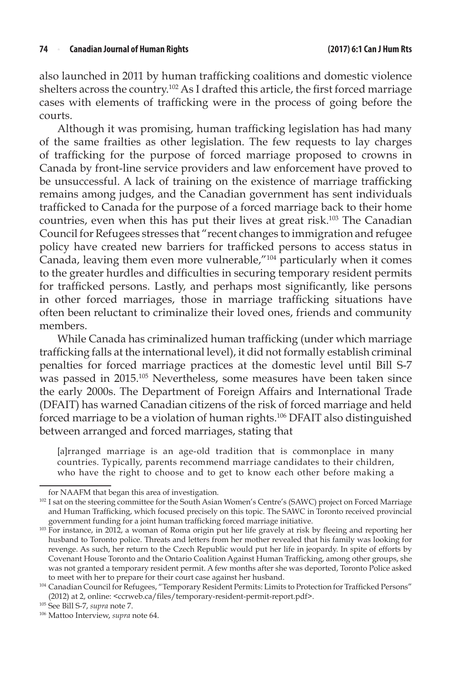also launched in 2011 by human trafficking coalitions and domestic violence shelters across the country.102 As I drafted this article, the first forced marriage cases with elements of trafficking were in the process of going before the courts.

Although it was promising, human trafficking legislation has had many of the same frailties as other legislation. The few requests to lay charges of trafficking for the purpose of forced marriage proposed to crowns in Canada by front-line service providers and law enforcement have proved to be unsuccessful. A lack of training on the existence of marriage trafficking remains among judges, and the Canadian government has sent individuals trafficked to Canada for the purpose of a forced marriage back to their home countries, even when this has put their lives at great risk.103 The Canadian Council for Refugees stresses that "recent changes to immigration and refugee policy have created new barriers for trafficked persons to access status in Canada, leaving them even more vulnerable,"<sup>104</sup> particularly when it comes to the greater hurdles and difficulties in securing temporary resident permits for trafficked persons. Lastly, and perhaps most significantly, like persons in other forced marriages, those in marriage trafficking situations have often been reluctant to criminalize their loved ones, friends and community members.

While Canada has criminalized human trafficking (under which marriage trafficking falls at the international level), it did not formally establish criminal penalties for forced marriage practices at the domestic level until Bill S-7 was passed in 2015.105 Nevertheless, some measures have been taken since the early 2000s. The Department of Foreign Affairs and International Trade (DFAIT) has warned Canadian citizens of the risk of forced marriage and held forced marriage to be a violation of human rights.106 DFAIT also distinguished between arranged and forced marriages, stating that

[a]rranged marriage is an age-old tradition that is commonplace in many countries. Typically, parents recommend marriage candidates to their children, who have the right to choose and to get to know each other before making a

for NAAFM that began this area of investigation. 102 I sat on the steering committee for the South Asian Women's Centre's (SAWC) project on Forced Marriage and Human Trafficking, which focused precisely on this topic. The SAWC in Toronto received provincial government funding for a joint human trafficking forced marriage initiative.

<sup>&</sup>lt;sup>103</sup> For instance, in 2012, a woman of Roma origin put her life gravely at risk by fleeing and reporting her husband to Toronto police. Threats and letters from her mother revealed that his family was looking for revenge. As such, her return to the Czech Republic would put her life in jeopardy. In spite of efforts by Covenant House Toronto and the Ontario Coalition Against Human Trafficking, among other groups, she was not granted a temporary resident permit. A few months after she was deported, Toronto Police asked to meet with her to prepare for their court case against her husband.<br><sup>104</sup> Canadian Council for Refugees, "Temporary Resident Permits: Limits to Protection for Trafficked Persons"

<sup>(2012)</sup> at 2, online: <ccrweb.ca/files/temporary-resident-permit-report.pdf>.

<sup>105</sup> See Bill S-7, *supra* note 7.

<sup>106</sup> Mattoo Interview, *supra* note 64.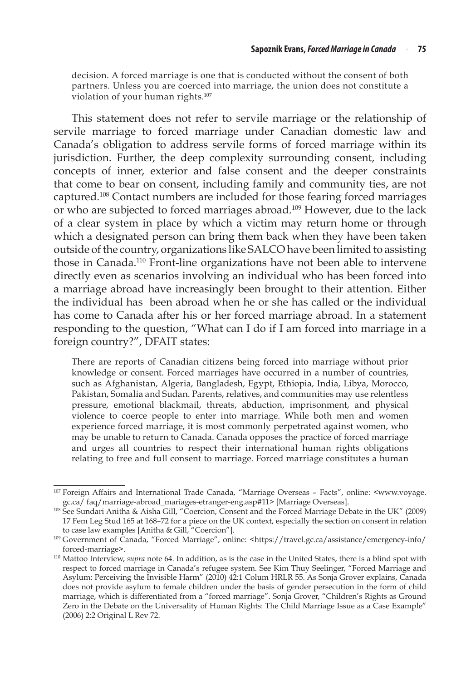decision. A forced marriage is one that is conducted without the consent of both partners. Unless you are coerced into marriage, the union does not constitute a violation of your human rights.107

This statement does not refer to servile marriage or the relationship of servile marriage to forced marriage under Canadian domestic law and Canada's obligation to address servile forms of forced marriage within its jurisdiction. Further, the deep complexity surrounding consent, including concepts of inner, exterior and false consent and the deeper constraints that come to bear on consent, including family and community ties, are not captured.108 Contact numbers are included for those fearing forced marriages or who are subjected to forced marriages abroad.109 However, due to the lack of a clear system in place by which a victim may return home or through which a designated person can bring them back when they have been taken outside of the country, organizations like SALCO have been limited to assisting those in Canada.110 Front-line organizations have not been able to intervene directly even as scenarios involving an individual who has been forced into a marriage abroad have increasingly been brought to their attention. Either the individual has been abroad when he or she has called or the individual has come to Canada after his or her forced marriage abroad. In a statement responding to the question, "What can I do if I am forced into marriage in a foreign country?", DFAIT states:

There are reports of Canadian citizens being forced into marriage without prior knowledge or consent. Forced marriages have occurred in a number of countries, such as Afghanistan, Algeria, Bangladesh, Egypt, Ethiopia, India, Libya, Morocco, Pakistan, Somalia and Sudan. Parents, relatives, and communities may use relentless pressure, emotional blackmail, threats, abduction, imprisonment, and physical violence to coerce people to enter into marriage. While both men and women experience forced marriage, it is most commonly perpetrated against women, who may be unable to return to Canada. Canada opposes the practice of forced marriage and urges all countries to respect their international human rights obligations relating to free and full consent to marriage. Forced marriage constitutes a human

<sup>107</sup> Foreign Affairs and International Trade Canada, "Marriage Overseas – Facts", online: <www.voyage. gc.ca/ faq/marriage-abroad\_mariages-etranger-eng.asp#11> [Marriage Overseas].

<sup>108</sup> See Sundari Anitha & Aisha Gill, "Coercion, Consent and the Forced Marriage Debate in the UK" (2009) 17 Fem Leg Stud 165 at 168–72 for a piece on the UK context, especially the section on consent in relation to case law examples [Anitha & Gill, "Coercion"].

<sup>109</sup> Government of Canada, "Forced Marriage", online: <https://travel.gc.ca/assistance/emergency-info/ forced-marriage>.

<sup>110</sup> Mattoo Interview, *supra* note 64. In addition, as is the case in the United States, there is a blind spot with respect to forced marriage in Canada's refugee system. See Kim Thuy Seelinger, "Forced Marriage and Asylum: Perceiving the Invisible Harm" (2010) 42:1 Colum HRLR 55. As Sonja Grover explains, Canada does not provide asylum to female children under the basis of gender persecution in the form of child marriage, which is differentiated from a "forced marriage". Sonja Grover, "Children's Rights as Ground Zero in the Debate on the Universality of Human Rights: The Child Marriage Issue as a Case Example" (2006) 2:2 Original L Rev 72.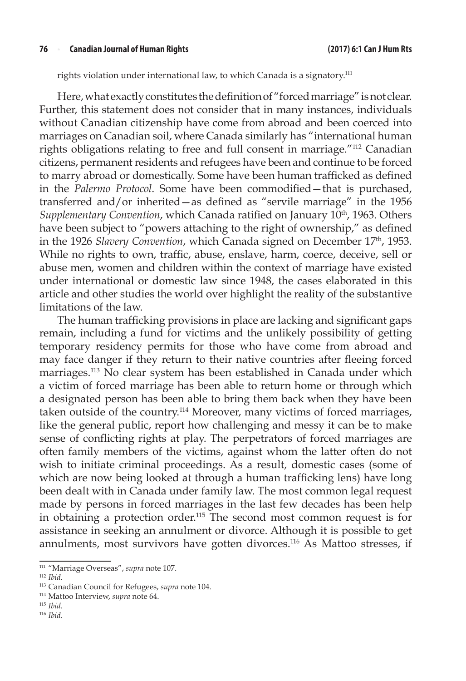#### **76** <sup>n</sup> **Canadian Journal of Human Rights (2017) 6:1 Can J Hum Rts**

rights violation under international law, to which Canada is a signatory.<sup>111</sup>

Here, what exactly constitutes the definition of "forced marriage" is not clear. Further, this statement does not consider that in many instances, individuals without Canadian citizenship have come from abroad and been coerced into marriages on Canadian soil, where Canada similarly has "international human rights obligations relating to free and full consent in marriage."112 Canadian citizens, permanent residents and refugees have been and continue to be forced to marry abroad or domestically. Some have been human trafficked as defined in the *Palermo Protocol*. Some have been commodified—that is purchased, transferred and/or inherited—as defined as "servile marriage" in the 1956 *Supplementary Convention, which Canada ratified on January 10<sup>th</sup>, 1963. Others* have been subject to "powers attaching to the right of ownership," as defined in the 1926 *Slavery Convention*, which Canada signed on December 17<sup>th</sup>, 1953. While no rights to own, traffic, abuse, enslave, harm, coerce, deceive, sell or abuse men, women and children within the context of marriage have existed under international or domestic law since 1948, the cases elaborated in this article and other studies the world over highlight the reality of the substantive limitations of the law.

The human trafficking provisions in place are lacking and significant gaps remain, including a fund for victims and the unlikely possibility of getting temporary residency permits for those who have come from abroad and may face danger if they return to their native countries after fleeing forced marriages.113 No clear system has been established in Canada under which a victim of forced marriage has been able to return home or through which a designated person has been able to bring them back when they have been taken outside of the country.114 Moreover, many victims of forced marriages, like the general public, report how challenging and messy it can be to make sense of conflicting rights at play. The perpetrators of forced marriages are often family members of the victims, against whom the latter often do not wish to initiate criminal proceedings. As a result, domestic cases (some of which are now being looked at through a human trafficking lens) have long been dealt with in Canada under family law. The most common legal request made by persons in forced marriages in the last few decades has been help in obtaining a protection order.115 The second most common request is for assistance in seeking an annulment or divorce. Although it is possible to get annulments, most survivors have gotten divorces.116 As Mattoo stresses, if

<sup>115</sup> *Ibid*.

<sup>111</sup> "Marriage Overseas", *supra* note 107.

<sup>112</sup> *Ibid*.

<sup>113</sup> Canadian Council for Refugees, *supra* note 104.

<sup>114</sup> Mattoo Interview, *supra* note 64.

<sup>116</sup> *Ibid*.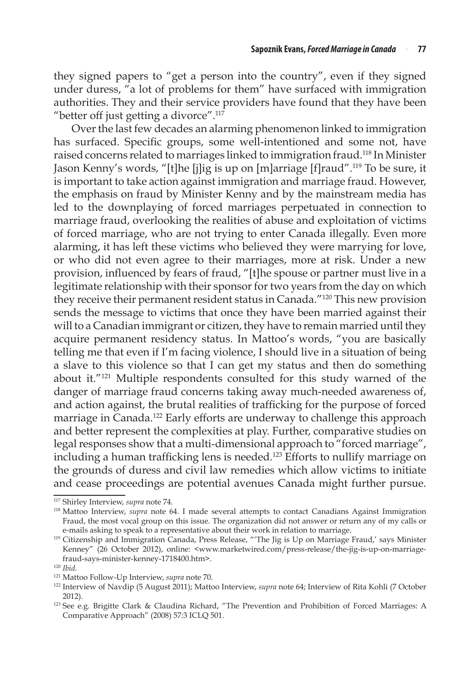they signed papers to "get a person into the country", even if they signed under duress, "a lot of problems for them" have surfaced with immigration authorities. They and their service providers have found that they have been "better off just getting a divorce". $117$ 

Over the last few decades an alarming phenomenon linked to immigration has surfaced. Specific groups, some well-intentioned and some not, have raised concerns related to marriages linked to immigration fraud.118 In Minister Jason Kenny's words, "[t]he [j]ig is up on [m]arriage [f]raud".119 To be sure, it is important to take action against immigration and marriage fraud. However, the emphasis on fraud by Minister Kenny and by the mainstream media has led to the downplaying of forced marriages perpetuated in connection to marriage fraud, overlooking the realities of abuse and exploitation of victims of forced marriage, who are not trying to enter Canada illegally. Even more alarming, it has left these victims who believed they were marrying for love, or who did not even agree to their marriages, more at risk. Under a new provision, influenced by fears of fraud, "[t]he spouse or partner must live in a legitimate relationship with their sponsor for two years from the day on which they receive their permanent resident status in Canada."120 This new provision sends the message to victims that once they have been married against their will to a Canadian immigrant or citizen, they have to remain married until they acquire permanent residency status. In Mattoo's words, "you are basically telling me that even if I'm facing violence, I should live in a situation of being a slave to this violence so that I can get my status and then do something about it."121 Multiple respondents consulted for this study warned of the danger of marriage fraud concerns taking away much-needed awareness of, and action against, the brutal realities of trafficking for the purpose of forced marriage in Canada.<sup>122</sup> Early efforts are underway to challenge this approach and better represent the complexities at play. Further, comparative studies on legal responses show that a multi-dimensional approach to "forced marriage", including a human trafficking lens is needed.123 Efforts to nullify marriage on the grounds of duress and civil law remedies which allow victims to initiate and cease proceedings are potential avenues Canada might further pursue.

<sup>117</sup> Shirley Interview, *supra* note 74.

<sup>118</sup> Mattoo Interview, *supra* note 64. I made several attempts to contact Canadians Against Immigration Fraud, the most vocal group on this issue. The organization did not answer or return any of my calls or e-mails asking to speak to a representative about their work in relation to marriage.

<sup>&</sup>lt;sup>119</sup> Citizenship and Immigration Canada, Press Release, "The Jig is Up on Marriage Fraud,' says Minister Kenney" (26 October 2012), online: <www.marketwired.com/press-release/the-jig-is-up-on-marriagefraud-says-minister-kenney-1718400.htm>.

<sup>120</sup> *Ibid*.

<sup>121</sup> Mattoo Follow-Up Interview, *supra* note 70.

<sup>122</sup> Interview of Navdip (5 August 2011); Mattoo Interview, *supra* note 64; Interview of Rita Kohli (7 October 2012).

<sup>123</sup> See e.g. Brigitte Clark & Claudina Richard, "The Prevention and Prohibition of Forced Marriages: A Comparative Approach" (2008) 57:3 ICLQ 501.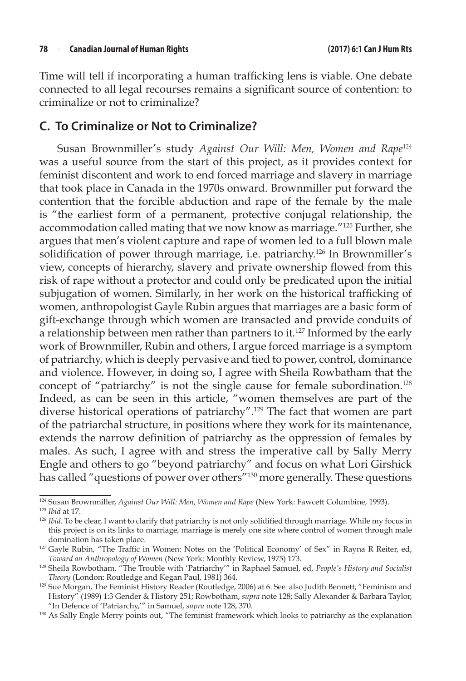Time will tell if incorporating a human trafficking lens is viable. One debate connected to all legal recourses remains a significant source of contention: to criminalize or not to criminalize?

#### **C. To Criminalize or Not to Criminalize?**

Susan Brownmiller's study *Against Our Will: Men, Women and Rape*<sup>124</sup> was a useful source from the start of this project, as it provides context for feminist discontent and work to end forced marriage and slavery in marriage that took place in Canada in the 1970s onward. Brownmiller put forward the contention that the forcible abduction and rape of the female by the male is "the earliest form of a permanent, protective conjugal relationship, the accommodation called mating that we now know as marriage."125 Further, she argues that men's violent capture and rape of women led to a full blown male solidification of power through marriage, i.e. patriarchy.<sup>126</sup> In Brownmiller's view, concepts of hierarchy, slavery and private ownership flowed from this risk of rape without a protector and could only be predicated upon the initial subjugation of women. Similarly, in her work on the historical trafficking of women, anthropologist Gayle Rubin argues that marriages are a basic form of gift-exchange through which women are transacted and provide conduits of a relationship between men rather than partners to it.<sup>127</sup> Informed by the early work of Brownmiller, Rubin and others, I argue forced marriage is a symptom of patriarchy, which is deeply pervasive and tied to power, control, dominance and violence. However, in doing so, I agree with Sheila Rowbatham that the concept of "patriarchy" is not the single cause for female subordination.<sup>128</sup> Indeed, as can be seen in this article, "women themselves are part of the diverse historical operations of patriarchy".<sup>129</sup> The fact that women are part of the patriarchal structure, in positions where they work for its maintenance, extends the narrow definition of patriarchy as the oppression of females by males. As such, I agree with and stress the imperative call by Sally Merry Engle and others to go "beyond patriarchy" and focus on what Lori Girshick has called "questions of power over others"130 more generally. These questions

<sup>124</sup> Susan Brownmiller, *Against Our Will: Men, Women and Rape* (New York: Fawcett Columbine, 1993).

<sup>125</sup> *Ibid* at 17.

<sup>&</sup>lt;sup>126</sup> *Ibid*. To be clear, I want to clarify that patriarchy is not only solidified through marriage. While my focus in this project is on its links to marriage, marriage is merely one site where control of women through male domination has taken place.<br><sup>127</sup> Gayle Rubin, "The Traffic in Women: Notes on the 'Political Economy' of Sex" in Rayna R Reiter, ed,

*Toward an Anthropology of Women* (New York: Monthly Review, 1975) 173.

<sup>128</sup> Sheila Rowbotham, "The Trouble with 'Patriarchy'" in Raphael Samuel, ed, *People's History and Socialist Theory* (London: Routledge and Kegan Paul, 1981) 364.

<sup>129</sup> Sue Morgan, The Feminist History Reader (Routledge, 2006) at 6. See also Judith Bennett, "Feminism and History" (1989) 1:3 Gender & History 251; Rowbotham, *supra* note 128; Sally Alexander & Barbara Taylor, "In Defence of 'Patriarchy,'" in Samuel, *supra* note 128, 370.

<sup>130</sup> As Sally Engle Merry points out, "The feminist framework which looks to patriarchy as the explanation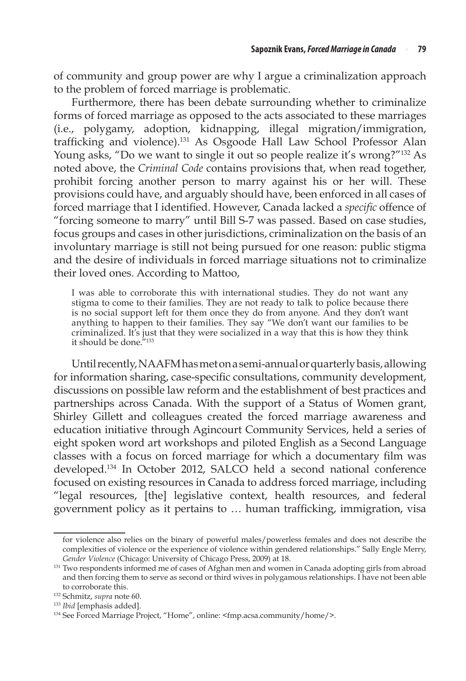of community and group power are why I argue a criminalization approach to the problem of forced marriage is problematic.

Furthermore, there has been debate surrounding whether to criminalize forms of forced marriage as opposed to the acts associated to these marriages (i.e., polygamy, adoption, kidnapping, illegal migration/immigration, trafficking and violence).131 As Osgoode Hall Law School Professor Alan Young asks, "Do we want to single it out so people realize it's wrong?"<sup>132</sup> As noted above, the *Criminal Code* contains provisions that, when read together, prohibit forcing another person to marry against his or her will. These provisions could have, and arguably should have, been enforced in all cases of forced marriage that I identified. However, Canada lacked a *specific* offence of "forcing someone to marry" until Bill S-7 was passed. Based on case studies, focus groups and cases in other jurisdictions, criminalization on the basis of an involuntary marriage is still not being pursued for one reason: public stigma and the desire of individuals in forced marriage situations not to criminalize their loved ones. According to Mattoo,

I was able to corroborate this with international studies. They do not want any stigma to come to their families. They are not ready to talk to police because there is no social support left for them once they do from anyone. And they don't want anything to happen to their families. They say "We don't want our families to be criminalized. It's just that they were socialized in a way that this is how they think it should be done."<sup>133</sup>

Until recently, NAAFM has met on a semi-annual or quarterly basis, allowing for information sharing, case-specific consultations, community development, discussions on possible law reform and the establishment of best practices and partnerships across Canada. With the support of a Status of Women grant, Shirley Gillett and colleagues created the forced marriage awareness and education initiative through Agincourt Community Services, held a series of eight spoken word art workshops and piloted English as a Second Language classes with a focus on forced marriage for which a documentary film was developed.134 In October 2012, SALCO held a second national conference focused on existing resources in Canada to address forced marriage, including "legal resources, [the] legislative context, health resources, and federal government policy as it pertains to … human trafficking, immigration, visa

for violence also relies on the binary of powerful males/powerless females and does not describe the complexities of violence or the experience of violence within gendered relationships." Sally Engle Merry, *Gender Violence* (Chicago: University of Chicago Press, 2009) at 18.

<sup>&</sup>lt;sup>131</sup> Two respondents informed me of cases of Afghan men and women in Canada adopting girls from abroad and then forcing them to serve as second or third wives in polygamous relationships. I have not been able to corroborate this. 132 Schmitz, *supra* note 60.

<sup>133</sup> *Ibid* [emphasis added].

<sup>134</sup> See Forced Marriage Project, "Home", online: <fmp.acsa.community/home/>.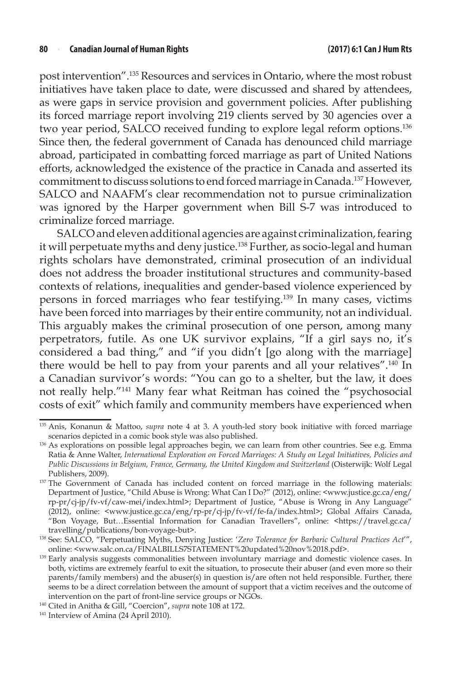post intervention".135 Resources and services in Ontario, where the most robust initiatives have taken place to date, were discussed and shared by attendees, as were gaps in service provision and government policies. After publishing its forced marriage report involving 219 clients served by 30 agencies over a two year period, SALCO received funding to explore legal reform options.136 Since then, the federal government of Canada has denounced child marriage abroad, participated in combatting forced marriage as part of United Nations efforts, acknowledged the existence of the practice in Canada and asserted its commitment to discuss solutions to end forced marriage in Canada.137 However, SALCO and NAAFM's clear recommendation not to pursue criminalization was ignored by the Harper government when Bill S-7 was introduced to criminalize forced marriage.

SALCO and eleven additional agencies are against criminalization, fearing it will perpetuate myths and deny justice.<sup>138</sup> Further, as socio-legal and human rights scholars have demonstrated, criminal prosecution of an individual does not address the broader institutional structures and community-based contexts of relations, inequalities and gender-based violence experienced by persons in forced marriages who fear testifying.139 In many cases, victims have been forced into marriages by their entire community, not an individual. This arguably makes the criminal prosecution of one person, among many perpetrators, futile. As one UK survivor explains, "If a girl says no, it's considered a bad thing," and "if you didn't [go along with the marriage] there would be hell to pay from your parents and all your relatives".<sup>140</sup> In a Canadian survivor's words: "You can go to a shelter, but the law, it does not really help."141 Many fear what Reitman has coined the "psychosocial costs of exit" which family and community members have experienced when

<sup>135</sup> Anis, Konanun & Mattoo, *supra* note 4 at 3. A youth-led story book initiative with forced marriage scenarios depicted in a comic book style was also published.

<sup>136</sup> As explorations on possible legal approaches begin, we can learn from other countries. See e.g. Emma Ratia & Anne Walter, *International Exploration on Forced Marriages: A Study on Legal Initiatives, Policies and Public Discussions in Belgium, France, Germany, the United Kingdom and Switzerland* (Oisterwijk: Wolf Legal Publishers, 2009).

<sup>137</sup> The Government of Canada has included content on forced marriage in the following materials: Department of Justice, "Child Abuse is Wrong: What Can I Do?" (2012), online: <www.justice.gc.ca/eng/ rp-pr/cj-jp/fv-vf/caw-mei/index.html>; Department of Justice, "Abuse is Wrong in Any Language" (2012), online: <www.justice.gc.ca/eng/rp-pr/cj-jp/fv-vf/fe-fa/index.html>; Global Affairs Canada, "Bon Voyage, But…Essential Information for Canadian Travellers", online: <https://travel.gc.ca/ travelling/publications/bon-voyage-but>.

<sup>138</sup> See: SALCO, "Perpetuating Myths, Denying Justice: '*Zero Tolerance for Barbaric Cultural Practices Act*'", online: <www.salc.on.ca/FINALBILLS7STATEMENT%20updated%20nov%2018.pdf>.

<sup>&</sup>lt;sup>139</sup> Early analysis suggests commonalities between involuntary marriage and domestic violence cases. In both, victims are extremely fearful to exit the situation, to prosecute their abuser (and even more so their parents/family members) and the abuser(s) in question is/are often not held responsible. Further, there seems to be a direct correlation between the amount of support that a victim receives and the outcome of intervention on the part of front-line service groups or NGOs. 140 Cited in Anitha & Gill, "Coercion", *supra* note 108 at 172.

<sup>141</sup> Interview of Amina (24 April 2010).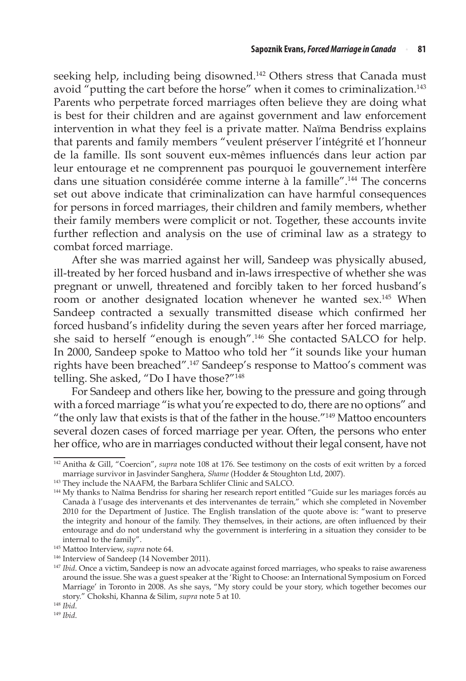seeking help, including being disowned.<sup>142</sup> Others stress that Canada must avoid "putting the cart before the horse" when it comes to criminalization.<sup>143</sup> Parents who perpetrate forced marriages often believe they are doing what is best for their children and are against government and law enforcement intervention in what they feel is a private matter. Naïma Bendriss explains that parents and family members "veulent préserver l'intégrité et l'honneur de la famille. Ils sont souvent eux-mêmes influencés dans leur action par leur entourage et ne comprennent pas pourquoi le gouvernement interfère dans une situation considérée comme interne à la famille".144 The concerns set out above indicate that criminalization can have harmful consequences for persons in forced marriages, their children and family members, whether their family members were complicit or not. Together, these accounts invite further reflection and analysis on the use of criminal law as a strategy to combat forced marriage.

After she was married against her will, Sandeep was physically abused, ill-treated by her forced husband and in-laws irrespective of whether she was pregnant or unwell, threatened and forcibly taken to her forced husband's room or another designated location whenever he wanted sex.<sup>145</sup> When Sandeep contracted a sexually transmitted disease which confirmed her forced husband's infidelity during the seven years after her forced marriage, she said to herself "enough is enough".146 She contacted SALCO for help. In 2000, Sandeep spoke to Mattoo who told her "it sounds like your human rights have been breached".147 Sandeep's response to Mattoo's comment was telling. She asked, "Do I have those?"148

For Sandeep and others like her, bowing to the pressure and going through with a forced marriage "is what you're expected to do, there are no options" and "the only law that exists is that of the father in the house."149 Mattoo encounters several dozen cases of forced marriage per year. Often, the persons who enter her office, who are in marriages conducted without their legal consent, have not

<sup>142</sup> Anitha & Gill, "Coercion", *supra* note 108 at 176. See testimony on the costs of exit written by a forced marriage survivor in Jasvinder Sanghera, *Shame* (Hodder & Stoughton Ltd, 2007).

<sup>143</sup> They include the NAAFM, the Barbara Schlifer Clinic and SALCO.

<sup>&</sup>lt;sup>144</sup> My thanks to Naïma Bendriss for sharing her research report entitled "Guide sur les mariages forcés au Canada à l'usage des intervenants et des intervenantes de terrain," which she completed in November 2010 for the Department of Justice. The English translation of the quote above is: "want to preserve the integrity and honour of the family. They themselves, in their actions, are often influenced by their entourage and do not understand why the government is interfering in a situation they consider to be

<sup>&</sup>lt;sup>145</sup> Mattoo Interview, *supra* note 64.

<sup>&</sup>lt;sup>146</sup> Interview of Sandeep (14 November 2011).

<sup>147</sup> *Ibid*. Once a victim, Sandeep is now an advocate against forced marriages, who speaks to raise awareness around the issue. She was a guest speaker at the 'Right to Choose: an International Symposium on Forced Marriage' in Toronto in 2008. As she says, "My story could be your story, which together becomes our story." Chokshi, Khanna & Silim, *supra* note 5 at 10.

<sup>148</sup> *Ibid*.

<sup>149</sup> *Ibid*.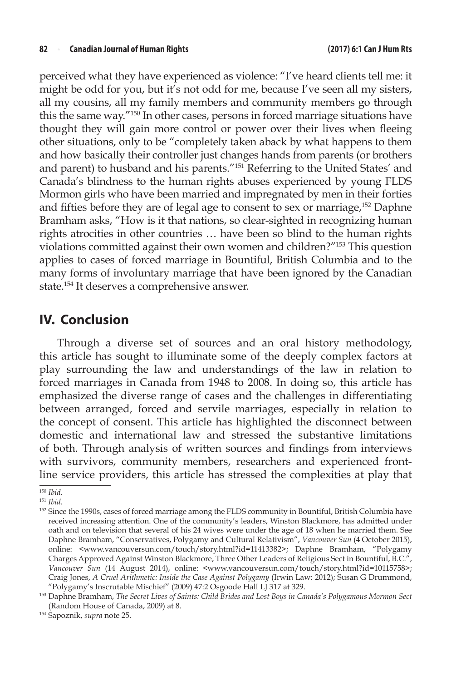perceived what they have experienced as violence: "I've heard clients tell me: it might be odd for you, but it's not odd for me, because I've seen all my sisters, all my cousins, all my family members and community members go through this the same way."150 In other cases, persons in forced marriage situations have thought they will gain more control or power over their lives when fleeing other situations, only to be "completely taken aback by what happens to them and how basically their controller just changes hands from parents (or brothers and parent) to husband and his parents."151 Referring to the United States' and Canada's blindness to the human rights abuses experienced by young FLDS Mormon girls who have been married and impregnated by men in their forties and fifties before they are of legal age to consent to sex or marriage,152 Daphne Bramham asks, "How is it that nations, so clear-sighted in recognizing human rights atrocities in other countries … have been so blind to the human rights violations committed against their own women and children?"153 This question applies to cases of forced marriage in Bountiful, British Columbia and to the many forms of involuntary marriage that have been ignored by the Canadian state.154 It deserves a comprehensive answer.

### **IV. Conclusion**

Through a diverse set of sources and an oral history methodology, this article has sought to illuminate some of the deeply complex factors at play surrounding the law and understandings of the law in relation to forced marriages in Canada from 1948 to 2008. In doing so, this article has emphasized the diverse range of cases and the challenges in differentiating between arranged, forced and servile marriages, especially in relation to the concept of consent. This article has highlighted the disconnect between domestic and international law and stressed the substantive limitations of both. Through analysis of written sources and findings from interviews with survivors, community members, researchers and experienced frontline service providers, this article has stressed the complexities at play that

<sup>150</sup> *Ibid*.

<sup>151</sup> *Ibid*.

<sup>&</sup>lt;sup>152</sup> Since the 1990s, cases of forced marriage among the FLDS community in Bountiful, British Columbia have received increasing attention. One of the community's leaders, Winston Blackmore, has admitted under oath and on television that several of his 24 wives were under the age of 18 when he married them. See Daphne Bramham, "Conservatives, Polygamy and Cultural Relativism", *Vancouver Sun* (4 October 2015), online: <www.vancouversun.com/touch/story.html?id=11413382>; Daphne Bramham, "Polygamy Charges Approved Against Winston Blackmore, Three Other Leaders of Religious Sect in Bountiful, B.C.", *Vancouver Sun* (14 August 2014), online: <www.vancouversun.com/touch/story.html?id=10115758>; Craig Jones, *A Cruel Arithmetic: Inside the Case Against Polygamy* (Irwin Law: 2012); Susan G Drummond, "Polygamy's Inscrutable Mischief" (2009) 47:2 Osgoode Hall LJ 317 at 329.

<sup>153</sup> Daphne Bramham, *The Secret Lives of Saints: Child Brides and Lost Boys in Canada's Polygamous Mormon Sect*  (Random House of Canada, 2009) at 8.

<sup>154</sup> Sapoznik, *supra* note 25.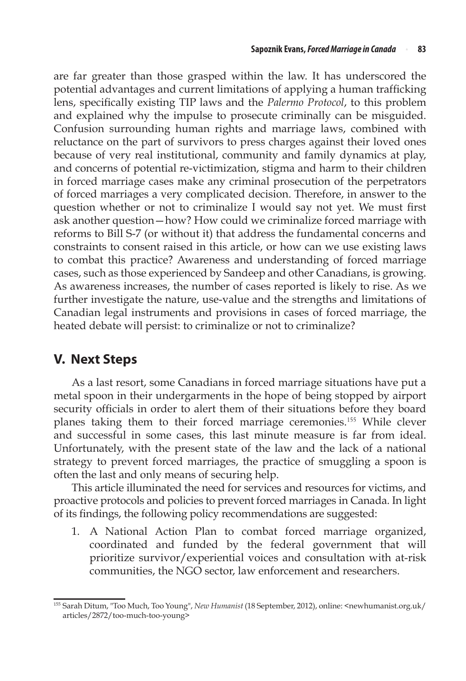are far greater than those grasped within the law. It has underscored the potential advantages and current limitations of applying a human trafficking lens, specifically existing TIP laws and the *Palermo Protocol*, to this problem and explained why the impulse to prosecute criminally can be misguided. Confusion surrounding human rights and marriage laws, combined with reluctance on the part of survivors to press charges against their loved ones because of very real institutional, community and family dynamics at play, and concerns of potential re-victimization, stigma and harm to their children in forced marriage cases make any criminal prosecution of the perpetrators of forced marriages a very complicated decision. Therefore, in answer to the question whether or not to criminalize I would say not yet. We must first ask another question—how? How could we criminalize forced marriage with reforms to Bill S-7 (or without it) that address the fundamental concerns and constraints to consent raised in this article, or how can we use existing laws to combat this practice? Awareness and understanding of forced marriage cases, such as those experienced by Sandeep and other Canadians, is growing. As awareness increases, the number of cases reported is likely to rise. As we further investigate the nature, use-value and the strengths and limitations of Canadian legal instruments and provisions in cases of forced marriage, the heated debate will persist: to criminalize or not to criminalize?

## **V. Next Steps**

As a last resort, some Canadians in forced marriage situations have put a metal spoon in their undergarments in the hope of being stopped by airport security officials in order to alert them of their situations before they board planes taking them to their forced marriage ceremonies.<sup>155</sup> While clever and successful in some cases, this last minute measure is far from ideal. Unfortunately, with the present state of the law and the lack of a national strategy to prevent forced marriages, the practice of smuggling a spoon is often the last and only means of securing help.

This article illuminated the need for services and resources for victims, and proactive protocols and policies to prevent forced marriages in Canada. In light of its findings, the following policy recommendations are suggested:

1. A National Action Plan to combat forced marriage organized, coordinated and funded by the federal government that will prioritize survivor/experiential voices and consultation with at-risk communities, the NGO sector, law enforcement and researchers.

<sup>155</sup> Sarah Ditum, "Too Much, Too Young", *New Humanist* (18 September, 2012), online: <newhumanist.org.uk/ articles/2872/too-much-too-young>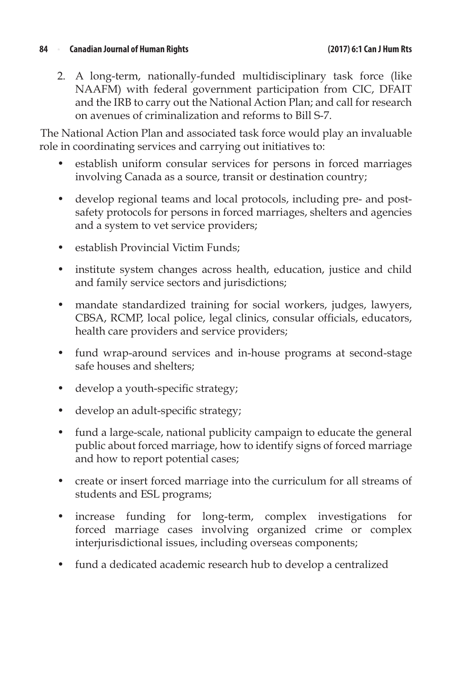#### **84** <sup>n</sup> **Canadian Journal of Human Rights (2017) 6:1 Can J Hum Rts**

2. A long-term, nationally-funded multidisciplinary task force (like NAAFM) with federal government participation from CIC, DFAIT and the IRB to carry out the National Action Plan; and call for research on avenues of criminalization and reforms to Bill S-7.

The National Action Plan and associated task force would play an invaluable role in coordinating services and carrying out initiatives to:

- establish uniform consular services for persons in forced marriages involving Canada as a source, transit or destination country;
- develop regional teams and local protocols, including pre- and postsafety protocols for persons in forced marriages, shelters and agencies and a system to vet service providers;
- establish Provincial Victim Funds:
- institute system changes across health, education, justice and child and family service sectors and jurisdictions;
- mandate standardized training for social workers, judges, lawyers, CBSA, RCMP, local police, legal clinics, consular officials, educators, health care providers and service providers;
- fund wrap-around services and in-house programs at second-stage safe houses and shelters;
- develop a youth-specific strategy;
- develop an adult-specific strategy;
- fund a large-scale, national publicity campaign to educate the general public about forced marriage, how to identify signs of forced marriage and how to report potential cases;
- create or insert forced marriage into the curriculum for all streams of students and ESL programs;
- increase funding for long-term, complex investigations for forced marriage cases involving organized crime or complex interjurisdictional issues, including overseas components;
- fund a dedicated academic research hub to develop a centralized